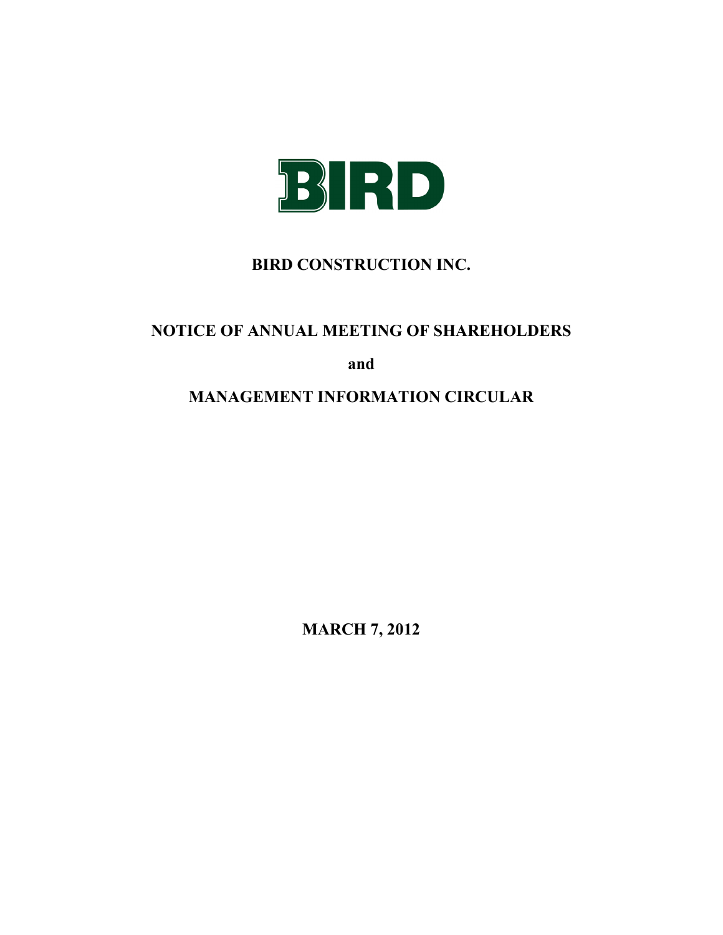

# **BIRD CONSTRUCTION INC.**

# **NOTICE OF ANNUAL MEETING OF SHAREHOLDERS**

**and**

# **MANAGEMENT INFORMATION CIRCULAR**

**MARCH 7, 2012**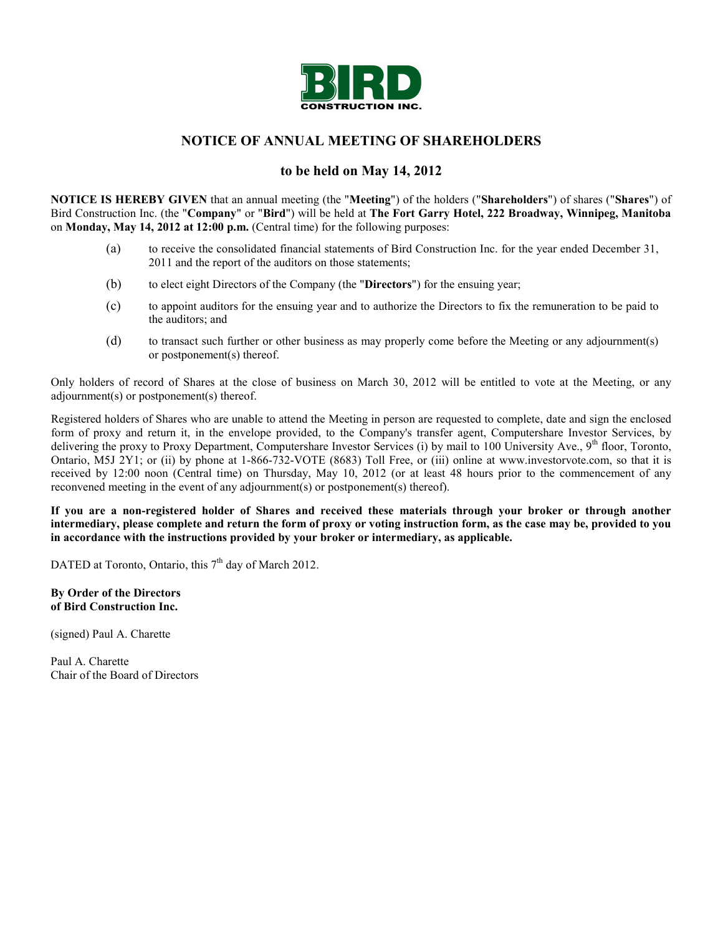

# **NOTICE OF ANNUAL MEETING OF SHAREHOLDERS**

# **to be held on May 14, 2012**

**NOTICE IS HEREBY GIVEN** that an annual meeting (the "**Meeting**") of the holders ("**Shareholders**") of shares ("**Shares**") of Bird Construction Inc. (the "**Company**" or "**Bird**") will be held at **The Fort Garry Hotel, 222 Broadway, Winnipeg, Manitoba** on **Monday, May 14, 2012 at 12:00 p.m.** (Central time) for the following purposes:

- (a) to receive the consolidated financial statements of Bird Construction Inc. for the year ended December 31, 2011 and the report of the auditors on those statements:
- (b) to elect eight Directors of the Company (the "**Directors**") for the ensuing year;
- (c) to appoint auditors for the ensuing year and to authorize the Directors to fix the remuneration to be paid to the auditors; and
- (d) to transact such further or other business as may properly come before the Meeting or any adjournment(s) or postponement(s) thereof.

Only holders of record of Shares at the close of business on March 30, 2012 will be entitled to vote at the Meeting, or any adjournment(s) or postponement(s) thereof.

Registered holders of Shares who are unable to attend the Meeting in person are requested to complete, date and sign the enclosed form of proxy and return it, in the envelope provided, to the Company's transfer agent, Computershare Investor Services, by delivering the proxy to Proxy Department, Computershare Investor Services (i) by mail to 100 University Ave.,  $9<sup>th</sup>$  floor, Toronto, Ontario, M5J 2Y1; or (ii) by phone at 1-866-732-VOTE (8683) Toll Free, or (iii) online at www.investorvote.com, so that it is received by 12:00 noon (Central time) on Thursday, May 10, 2012 (or at least 48 hours prior to the commencement of any reconvened meeting in the event of any adjournment(s) or postponement(s) thereof).

**If you are a non-registered holder of Shares and received these materials through your broker or through another intermediary, please complete and return the form of proxy or voting instruction form, as the case may be, provided to you in accordance with the instructions provided by your broker or intermediary, as applicable.**

DATED at Toronto, Ontario, this  $7<sup>th</sup>$  day of March 2012.

**By Order of the Directors of Bird Construction Inc.**

(signed) Paul A. Charette

Paul A. Charette Chair of the Board of Directors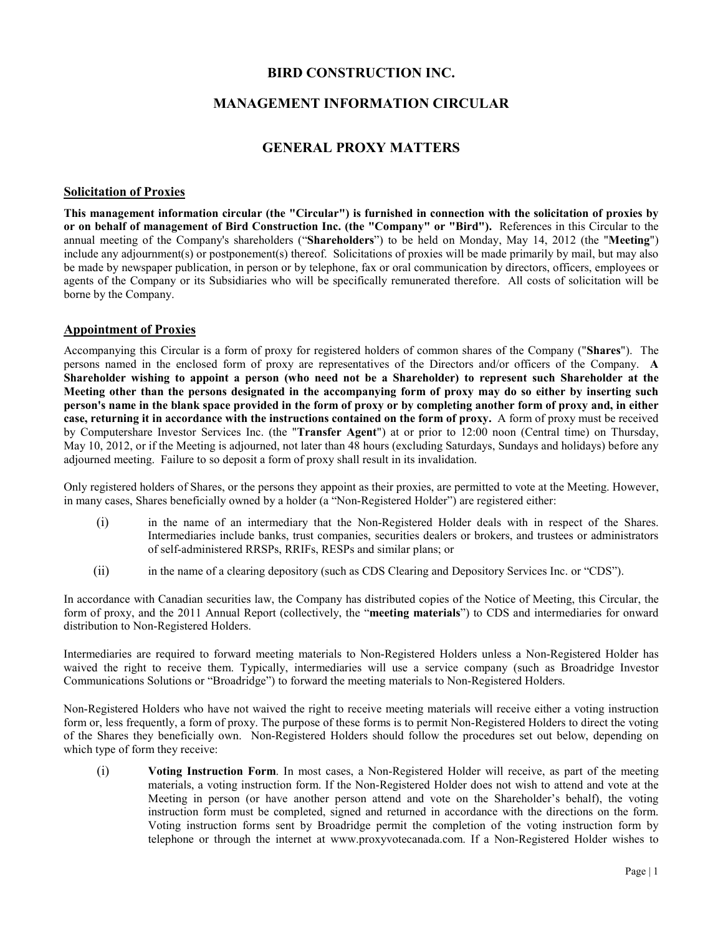# **BIRD CONSTRUCTION INC.**

# **MANAGEMENT INFORMATION CIRCULAR**

# **GENERAL PROXY MATTERS**

#### **Solicitation of Proxies**

**This management information circular (the "Circular") is furnished in connection with the solicitation of proxies by or on behalf of management of Bird Construction Inc. (the "Company" or "Bird").** References in this Circular to the annual meeting of the Company's shareholders ("**Shareholders**") to be held on Monday, May 14, 2012 (the "**Meeting**") include any adjournment(s) or postponement(s) thereof. Solicitations of proxies will be made primarily by mail, but may also be made by newspaper publication, in person or by telephone, fax or oral communication by directors, officers, employees or agents of the Company or its Subsidiaries who will be specifically remunerated therefore. All costs of solicitation will be borne by the Company.

#### **Appointment of Proxies**

Accompanying this Circular is a form of proxy for registered holders of common shares of the Company ("**Shares**"). The persons named in the enclosed form of proxy are representatives of the Directors and/or officers of the Company. **A Shareholder wishing to appoint a person (who need not be a Shareholder) to represent such Shareholder at the Meeting other than the persons designated in the accompanying form of proxy may do so either by inserting such person's name in the blank space provided in the form of proxy or by completing another form of proxy and, in either case, returning it in accordance with the instructions contained on the form of proxy.** A form of proxy must be received by Computershare Investor Services Inc. (the "**Transfer Agent**") at or prior to 12:00 noon (Central time) on Thursday, May 10, 2012, or if the Meeting is adjourned, not later than 48 hours (excluding Saturdays, Sundays and holidays) before any adjourned meeting. Failure to so deposit a form of proxy shall result in its invalidation.

Only registered holders of Shares, or the persons they appoint as their proxies, are permitted to vote at the Meeting. However, in many cases, Shares beneficially owned by a holder (a "Non-Registered Holder") are registered either:

- (i) in the name of an intermediary that the Non-Registered Holder deals with in respect of the Shares. Intermediaries include banks, trust companies, securities dealers or brokers, and trustees or administrators of self-administered RRSPs, RRIFs, RESPs and similar plans; or
- (ii) in the name of a clearing depository (such as CDS Clearing and Depository Services Inc. or "CDS").

In accordance with Canadian securities law, the Company has distributed copies of the Notice of Meeting, this Circular, the form of proxy, and the 2011 Annual Report (collectively, the "**meeting materials**") to CDS and intermediaries for onward distribution to Non-Registered Holders.

Intermediaries are required to forward meeting materials to Non-Registered Holders unless a Non-Registered Holder has waived the right to receive them. Typically, intermediaries will use a service company (such as Broadridge Investor Communications Solutions or "Broadridge") to forward the meeting materials to Non-Registered Holders.

Non-Registered Holders who have not waived the right to receive meeting materials will receive either a voting instruction form or, less frequently, a form of proxy. The purpose of these forms is to permit Non-Registered Holders to direct the voting of the Shares they beneficially own. Non-Registered Holders should follow the procedures set out below, depending on which type of form they receive:

(i) **Voting Instruction Form**. In most cases, a Non-Registered Holder will receive, as part of the meeting materials, a voting instruction form. If the Non-Registered Holder does not wish to attend and vote at the Meeting in person (or have another person attend and vote on the Shareholder's behalf), the voting instruction form must be completed, signed and returned in accordance with the directions on the form. Voting instruction forms sent by Broadridge permit the completion of the voting instruction form by telephone or through the internet at www.proxyvotecanada.com. If a Non-Registered Holder wishes to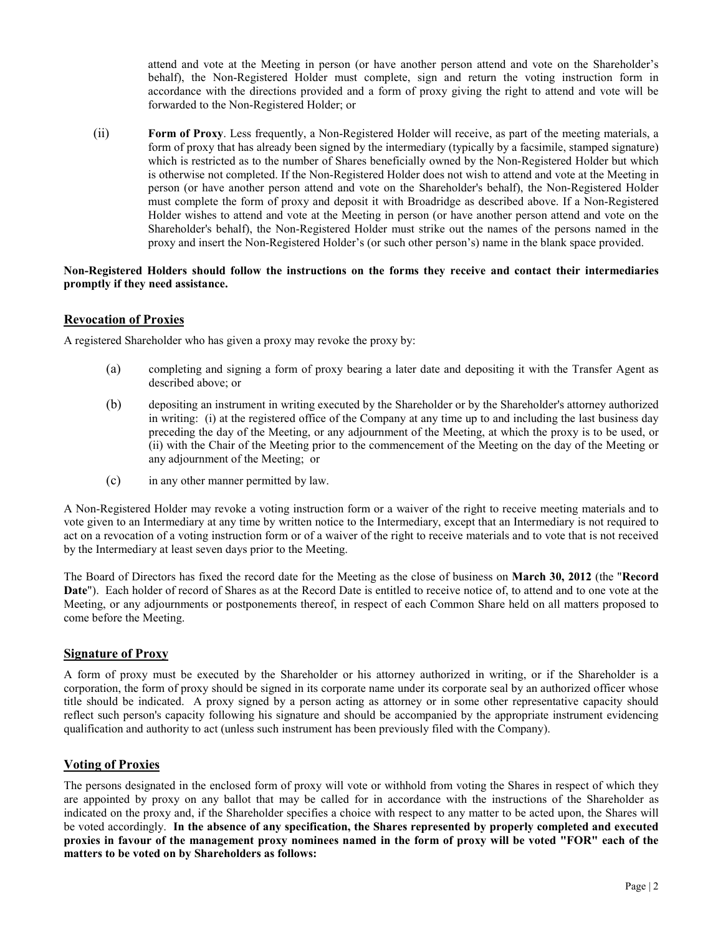attend and vote at the Meeting in person (or have another person attend and vote on the Shareholder's behalf), the Non-Registered Holder must complete, sign and return the voting instruction form in accordance with the directions provided and a form of proxy giving the right to attend and vote will be forwarded to the Non-Registered Holder; or

(ii) **Form of Proxy**. Less frequently, a Non-Registered Holder will receive, as part of the meeting materials, a form of proxy that has already been signed by the intermediary (typically by a facsimile, stamped signature) which is restricted as to the number of Shares beneficially owned by the Non-Registered Holder but which is otherwise not completed. If the Non-Registered Holder does not wish to attend and vote at the Meeting in person (or have another person attend and vote on the Shareholder's behalf), the Non-Registered Holder must complete the form of proxy and deposit it with Broadridge as described above. If a Non-Registered Holder wishes to attend and vote at the Meeting in person (or have another person attend and vote on the Shareholder's behalf), the Non-Registered Holder must strike out the names of the persons named in the proxy and insert the Non-Registered Holder's (or such other person's) name in the blank space provided.

### **Non-Registered Holders should follow the instructions on the forms they receive and contact their intermediaries promptly if they need assistance.**

# **Revocation of Proxies**

A registered Shareholder who has given a proxy may revoke the proxy by:

- (a) completing and signing a form of proxy bearing a later date and depositing it with the Transfer Agent as described above; or
- (b) depositing an instrument in writing executed by the Shareholder or by the Shareholder's attorney authorized in writing: (i) at the registered office of the Company at any time up to and including the last business day preceding the day of the Meeting, or any adjournment of the Meeting, at which the proxy is to be used, or (ii) with the Chair of the Meeting prior to the commencement of the Meeting on the day of the Meeting or any adjournment of the Meeting; or
- (c) in any other manner permitted by law.

A Non-Registered Holder may revoke a voting instruction form or a waiver of the right to receive meeting materials and to vote given to an Intermediary at any time by written notice to the Intermediary, except that an Intermediary is not required to act on a revocation of a voting instruction form or of a waiver of the right to receive materials and to vote that is not received by the Intermediary at least seven days prior to the Meeting.

The Board of Directors has fixed the record date for the Meeting as the close of business on **March 30, 2012** (the "**Record Date**"). Each holder of record of Shares as at the Record Date is entitled to receive notice of, to attend and to one vote at the Meeting, or any adjournments or postponements thereof, in respect of each Common Share held on all matters proposed to come before the Meeting.

### **Signature of Proxy**

A form of proxy must be executed by the Shareholder or his attorney authorized in writing, or if the Shareholder is a corporation, the form of proxy should be signed in its corporate name under its corporate seal by an authorized officer whose title should be indicated. A proxy signed by a person acting as attorney or in some other representative capacity should reflect such person's capacity following his signature and should be accompanied by the appropriate instrument evidencing qualification and authority to act (unless such instrument has been previously filed with the Company).

# **Voting of Proxies**

The persons designated in the enclosed form of proxy will vote or withhold from voting the Shares in respect of which they are appointed by proxy on any ballot that may be called for in accordance with the instructions of the Shareholder as indicated on the proxy and, if the Shareholder specifies a choice with respect to any matter to be acted upon, the Shares will be voted accordingly. **In the absence of any specification, the Shares represented by properly completed and executed proxies in favour of the management proxy nominees named in the form of proxy will be voted "FOR" each of the matters to be voted on by Shareholders as follows:**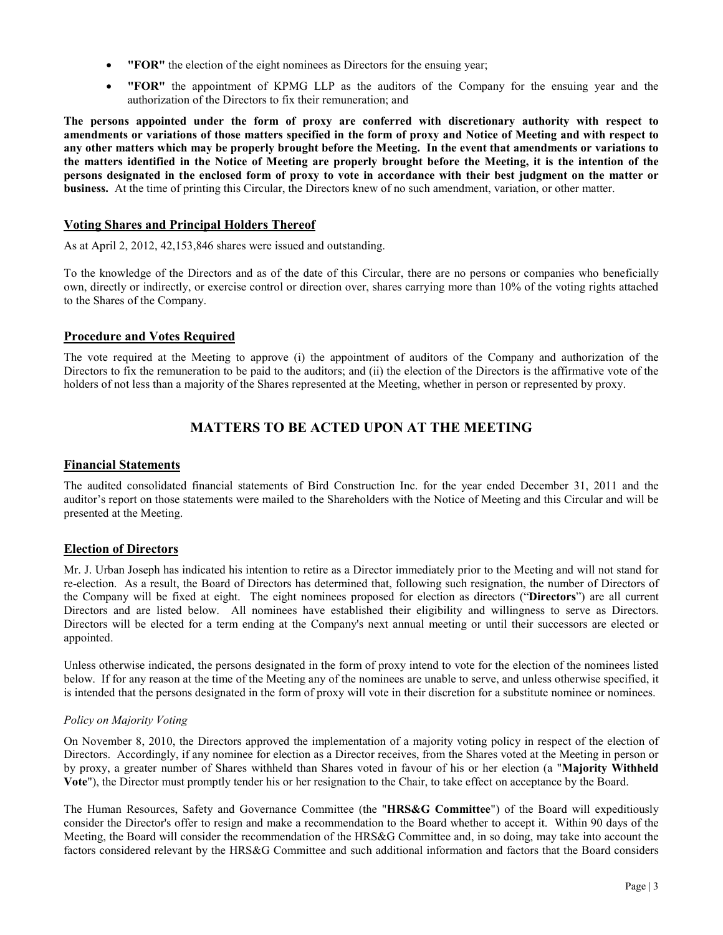- **"FOR"** the election of the eight nominees as Directors for the ensuing year;
- **"FOR"** the appointment of KPMG LLP as the auditors of the Company for the ensuing year and the authorization of the Directors to fix their remuneration; and

**The persons appointed under the form of proxy are conferred with discretionary authority with respect to amendments or variations of those matters specified in the form of proxy and Notice of Meeting and with respect to any other matters which may be properly brought before the Meeting. In the event that amendments or variations to the matters identified in the Notice of Meeting are properly brought before the Meeting, it is the intention of the persons designated in the enclosed form of proxy to vote in accordance with their best judgment on the matter or business.** At the time of printing this Circular, the Directors knew of no such amendment, variation, or other matter.

# **Voting Shares and Principal Holders Thereof**

As at April 2, 2012, 42,153,846 shares were issued and outstanding.

To the knowledge of the Directors and as of the date of this Circular, there are no persons or companies who beneficially own, directly or indirectly, or exercise control or direction over, shares carrying more than 10% of the voting rights attached to the Shares of the Company.

# **Procedure and Votes Required**

The vote required at the Meeting to approve (i) the appointment of auditors of the Company and authorization of the Directors to fix the remuneration to be paid to the auditors; and (ii) the election of the Directors is the affirmative vote of the holders of not less than a majority of the Shares represented at the Meeting, whether in person or represented by proxy.

# **MATTERS TO BE ACTED UPON AT THE MEETING**

# **Financial Statements**

The audited consolidated financial statements of Bird Construction Inc. for the year ended December 31, 2011 and the auditor's report on those statements were mailed to the Shareholders with the Notice of Meeting and this Circular and will be presented at the Meeting.

# **Election of Directors**

Mr. J. Urban Joseph has indicated his intention to retire as a Director immediately prior to the Meeting and will not stand for re-election. As a result, the Board of Directors has determined that, following such resignation, the number of Directors of the Company will be fixed at eight. The eight nominees proposed for election as directors ("**Directors**") are all current Directors and are listed below. All nominees have established their eligibility and willingness to serve as Directors. Directors will be elected for a term ending at the Company's next annual meeting or until their successors are elected or appointed.

Unless otherwise indicated, the persons designated in the form of proxy intend to vote for the election of the nominees listed below. If for any reason at the time of the Meeting any of the nominees are unable to serve, and unless otherwise specified, it is intended that the persons designated in the form of proxy will vote in their discretion for a substitute nominee or nominees.

### *Policy on Majority Voting*

On November 8, 2010, the Directors approved the implementation of a majority voting policy in respect of the election of Directors. Accordingly, if any nominee for election as a Director receives, from the Shares voted at the Meeting in person or by proxy, a greater number of Shares withheld than Shares voted in favour of his or her election (a "**Majority Withheld Vote**"), the Director must promptly tender his or her resignation to the Chair, to take effect on acceptance by the Board.

The Human Resources, Safety and Governance Committee (the "**HRS&G Committee**") of the Board will expeditiously consider the Director's offer to resign and make a recommendation to the Board whether to accept it. Within 90 days of the Meeting, the Board will consider the recommendation of the HRS&G Committee and, in so doing, may take into account the factors considered relevant by the HRS&G Committee and such additional information and factors that the Board considers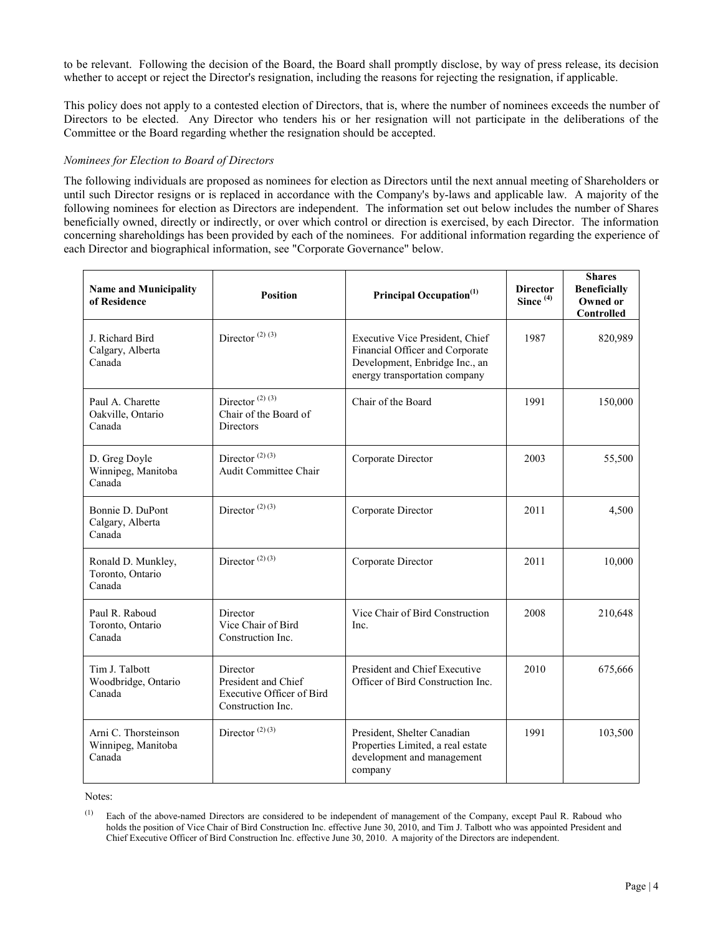to be relevant. Following the decision of the Board, the Board shall promptly disclose, by way of press release, its decision whether to accept or reject the Director's resignation, including the reasons for rejecting the resignation, if applicable.

This policy does not apply to a contested election of Directors, that is, where the number of nominees exceeds the number of Directors to be elected. Any Director who tenders his or her resignation will not participate in the deliberations of the Committee or the Board regarding whether the resignation should be accepted.

#### *Nominees for Election to Board of Directors*

The following individuals are proposed as nominees for election as Directors until the next annual meeting of Shareholders or until such Director resigns or is replaced in accordance with the Company's by-laws and applicable law. A majority of the following nominees for election as Directors are independent. The information set out below includes the number of Shares beneficially owned, directly or indirectly, or over which control or direction is exercised, by each Director. The information concerning shareholdings has been provided by each of the nominees. For additional information regarding the experience of each Director and biographical information, see "Corporate Governance" below.

| <b>Name and Municipality</b><br>of Residence         | <b>Position</b>                                                                          | Principal Occupation <sup>(1)</sup>                                                                                                   | <b>Director</b><br>Since $(4)$ | <b>Shares</b><br><b>Beneficially</b><br>Owned or<br>Controlled |
|------------------------------------------------------|------------------------------------------------------------------------------------------|---------------------------------------------------------------------------------------------------------------------------------------|--------------------------------|----------------------------------------------------------------|
| J. Richard Bird<br>Calgary, Alberta<br>Canada        | Director <sup><math>(2)</math><math>(3)</math></sup>                                     | Executive Vice President, Chief<br>Financial Officer and Corporate<br>Development, Enbridge Inc., an<br>energy transportation company | 1987                           | 820,989                                                        |
| Paul A. Charette<br>Oakville, Ontario<br>Canada      | Director <sup>(2)(3)</sup><br>Chair of the Board of<br><b>Directors</b>                  | Chair of the Board                                                                                                                    | 1991                           | 150,000                                                        |
| D. Greg Doyle<br>Winnipeg, Manitoba<br>Canada        | Director $(2)(3)$<br>Audit Committee Chair                                               | Corporate Director                                                                                                                    | 2003                           | 55,500                                                         |
| Bonnie D. DuPont<br>Calgary, Alberta<br>Canada       | Director $(2)$ $(3)$                                                                     | Corporate Director                                                                                                                    | 2011                           | 4,500                                                          |
| Ronald D. Munkley,<br>Toronto, Ontario<br>Canada     | Director $(2)$ $(3)$                                                                     | Corporate Director                                                                                                                    | 2011                           | 10,000                                                         |
| Paul R. Raboud<br>Toronto, Ontario<br>Canada         | Director<br>Vice Chair of Bird<br>Construction Inc.                                      | Vice Chair of Bird Construction<br>Inc.                                                                                               | 2008                           | 210,648                                                        |
| Tim J. Talbott<br>Woodbridge, Ontario<br>Canada      | Director<br>President and Chief<br><b>Executive Officer of Bird</b><br>Construction Inc. | President and Chief Executive<br>Officer of Bird Construction Inc.                                                                    | 2010                           | 675,666                                                        |
| Arni C. Thorsteinson<br>Winnipeg, Manitoba<br>Canada | Director $(2)(3)$                                                                        | President, Shelter Canadian<br>Properties Limited, a real estate<br>development and management<br>company                             | 1991                           | 103,500                                                        |

Notes:

<sup>(1)</sup> Each of the above-named Directors are considered to be independent of management of the Company, except Paul R. Raboud who holds the position of Vice Chair of Bird Construction Inc. effective June 30, 2010, and Tim J. Talbott who was appointed President and Chief Executive Officer of Bird Construction Inc. effective June 30, 2010. A majority of the Directors are independent.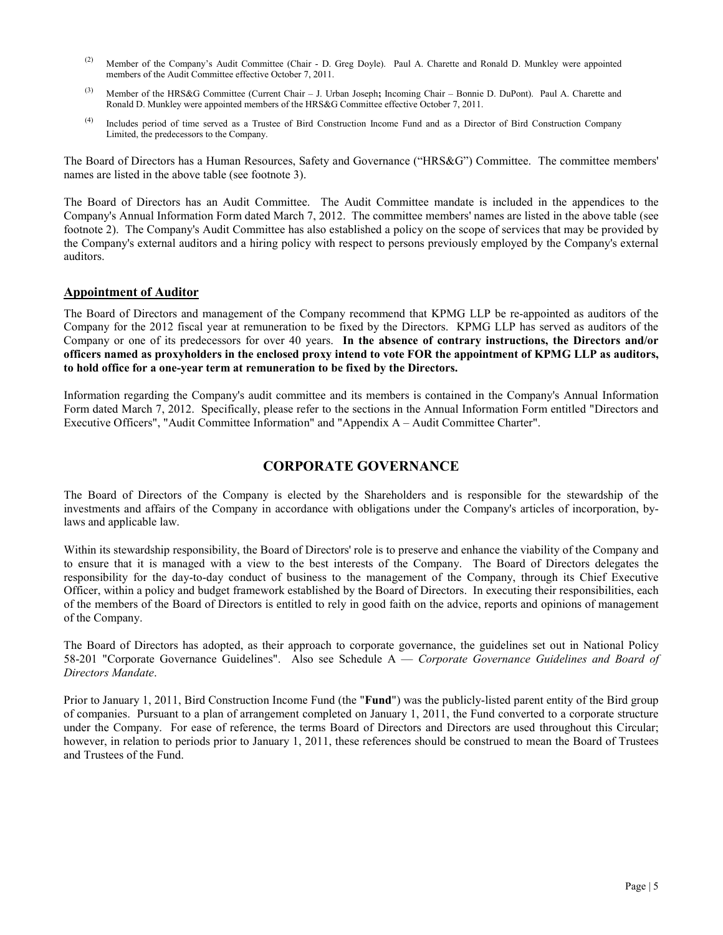- (2) Member of the Company's Audit Committee (Chair D. Greg Doyle). Paul A. Charette and Ronald D. Munkley were appointed members of the Audit Committee effective October 7, 2011.
- (3) Member of the HRS&G Committee (Current Chair J. Urban Joseph**;** Incoming Chair Bonnie D. DuPont). Paul A. Charette and Ronald D. Munkley were appointed members of the HRS&G Committee effective October 7, 2011.
- (4) Includes period of time served as a Trustee of Bird Construction Income Fund and as a Director of Bird Construction Company Limited, the predecessors to the Company.

The Board of Directors has a Human Resources, Safety and Governance ("HRS&G") Committee. The committee members' names are listed in the above table (see footnote 3).

The Board of Directors has an Audit Committee. The Audit Committee mandate is included in the appendices to the Company's Annual Information Form dated March 7, 2012. The committee members' names are listed in the above table (see footnote 2). The Company's Audit Committee has also established a policy on the scope of services that may be provided by the Company's external auditors and a hiring policy with respect to persons previously employed by the Company's external auditors.

### **Appointment of Auditor**

The Board of Directors and management of the Company recommend that KPMG LLP be re-appointed as auditors of the Company for the 2012 fiscal year at remuneration to be fixed by the Directors. KPMG LLP has served as auditors of the Company or one of its predecessors for over 40 years. **In the absence of contrary instructions, the Directors and/or officers named as proxyholders in the enclosed proxy intend to vote FOR the appointment of KPMG LLP as auditors, to hold office for a one-year term at remuneration to be fixed by the Directors.**

Information regarding the Company's audit committee and its members is contained in the Company's Annual Information Form dated March 7, 2012. Specifically, please refer to the sections in the Annual Information Form entitled "Directors and Executive Officers", "Audit Committee Information" and "Appendix A – Audit Committee Charter".

# **CORPORATE GOVERNANCE**

The Board of Directors of the Company is elected by the Shareholders and is responsible for the stewardship of the investments and affairs of the Company in accordance with obligations under the Company's articles of incorporation, bylaws and applicable law.

Within its stewardship responsibility, the Board of Directors' role is to preserve and enhance the viability of the Company and to ensure that it is managed with a view to the best interests of the Company. The Board of Directors delegates the responsibility for the day-to-day conduct of business to the management of the Company, through its Chief Executive Officer, within a policy and budget framework established by the Board of Directors. In executing their responsibilities, each of the members of the Board of Directors is entitled to rely in good faith on the advice, reports and opinions of management of the Company.

The Board of Directors has adopted, as their approach to corporate governance, the guidelines set out in National Policy 58-201 "Corporate Governance Guidelines". Also see Schedule A — *Corporate Governance Guidelines and Board of Directors Mandate*.

Prior to January 1, 2011, Bird Construction Income Fund (the "**Fund**") was the publicly-listed parent entity of the Bird group of companies. Pursuant to a plan of arrangement completed on January 1, 2011, the Fund converted to a corporate structure under the Company. For ease of reference, the terms Board of Directors and Directors are used throughout this Circular; however, in relation to periods prior to January 1, 2011, these references should be construed to mean the Board of Trustees and Trustees of the Fund.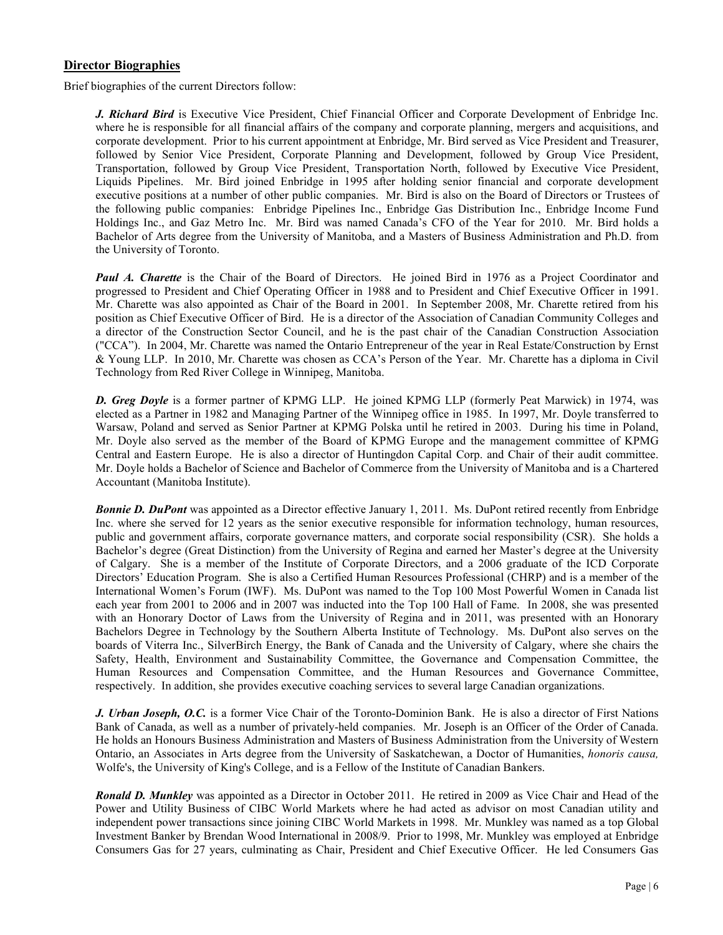# **Director Biographies**

Brief biographies of the current Directors follow:

*J. Richard Bird* is Executive Vice President, Chief Financial Officer and Corporate Development of Enbridge Inc. where he is responsible for all financial affairs of the company and corporate planning, mergers and acquisitions, and corporate development. Prior to his current appointment at Enbridge, Mr. Bird served as Vice President and Treasurer, followed by Senior Vice President, Corporate Planning and Development, followed by Group Vice President, Transportation, followed by Group Vice President, Transportation North, followed by Executive Vice President, Liquids Pipelines. Mr. Bird joined Enbridge in 1995 after holding senior financial and corporate development executive positions at a number of other public companies. Mr. Bird is also on the Board of Directors or Trustees of the following public companies: Enbridge Pipelines Inc., Enbridge Gas Distribution Inc., Enbridge Income Fund Holdings Inc., and Gaz Metro Inc. Mr. Bird was named Canada's CFO of the Year for 2010. Mr. Bird holds a Bachelor of Arts degree from the University of Manitoba, and a Masters of Business Administration and Ph.D. from the University of Toronto.

*Paul A. Charette* is the Chair of the Board of Directors. He joined Bird in 1976 as a Project Coordinator and progressed to President and Chief Operating Officer in 1988 and to President and Chief Executive Officer in 1991. Mr. Charette was also appointed as Chair of the Board in 2001. In September 2008, Mr. Charette retired from his position as Chief Executive Officer of Bird. He is a director of the Association of Canadian Community Colleges and a director of the Construction Sector Council, and he is the past chair of the Canadian Construction Association ("CCA"). In 2004, Mr. Charette was named the Ontario Entrepreneur of the year in Real Estate/Construction by Ernst & Young LLP. In 2010, Mr. Charette was chosen as CCA's Person of the Year. Mr. Charette has a diploma in Civil Technology from Red River College in Winnipeg, Manitoba.

*D. Greg Doyle* is a former partner of KPMG LLP. He joined KPMG LLP (formerly Peat Marwick) in 1974, was elected as a Partner in 1982 and Managing Partner of the Winnipeg office in 1985. In 1997, Mr. Doyle transferred to Warsaw, Poland and served as Senior Partner at KPMG Polska until he retired in 2003. During his time in Poland, Mr. Doyle also served as the member of the Board of KPMG Europe and the management committee of KPMG Central and Eastern Europe. He is also a director of Huntingdon Capital Corp. and Chair of their audit committee. Mr. Doyle holds a Bachelor of Science and Bachelor of Commerce from the University of Manitoba and is a Chartered Accountant (Manitoba Institute).

*Bonnie D. DuPont* was appointed as a Director effective January 1, 2011. Ms. DuPont retired recently from Enbridge Inc. where she served for 12 years as the senior executive responsible for information technology, human resources, public and government affairs, corporate governance matters, and corporate social responsibility (CSR). She holds a Bachelor's degree (Great Distinction) from the University of Regina and earned her Master's degree at the University of Calgary. She is a member of the Institute of Corporate Directors, and a 2006 graduate of the ICD Corporate Directors' Education Program. She is also a Certified Human Resources Professional (CHRP) and is a member of the International Women's Forum (IWF). Ms. DuPont was named to the Top 100 Most Powerful Women in Canada list each year from 2001 to 2006 and in 2007 was inducted into the Top 100 Hall of Fame. In 2008, she was presented with an Honorary Doctor of Laws from the University of Regina and in 2011, was presented with an Honorary Bachelors Degree in Technology by the Southern Alberta Institute of Technology. Ms. DuPont also serves on the boards of Viterra Inc., SilverBirch Energy, the Bank of Canada and the University of Calgary, where she chairs the Safety, Health, Environment and Sustainability Committee, the Governance and Compensation Committee, the Human Resources and Compensation Committee, and the Human Resources and Governance Committee, respectively. In addition, she provides executive coaching services to several large Canadian organizations.

*J. Urban Joseph, O.C.* is a former Vice Chair of the Toronto-Dominion Bank. He is also a director of First Nations Bank of Canada, as well as a number of privately-held companies. Mr. Joseph is an Officer of the Order of Canada. He holds an Honours Business Administration and Masters of Business Administration from the University of Western Ontario, an Associates in Arts degree from the University of Saskatchewan, a Doctor of Humanities, *honoris causa,* Wolfe's, the University of King's College, and is a Fellow of the Institute of Canadian Bankers.

*Ronald D. Munkley* was appointed as a Director in October 2011. He retired in 2009 as Vice Chair and Head of the Power and Utility Business of CIBC World Markets where he had acted as advisor on most Canadian utility and independent power transactions since joining CIBC World Markets in 1998. Mr. Munkley was named as a top Global Investment Banker by Brendan Wood International in 2008/9. Prior to 1998, Mr. Munkley was employed at Enbridge Consumers Gas for 27 years, culminating as Chair, President and Chief Executive Officer. He led Consumers Gas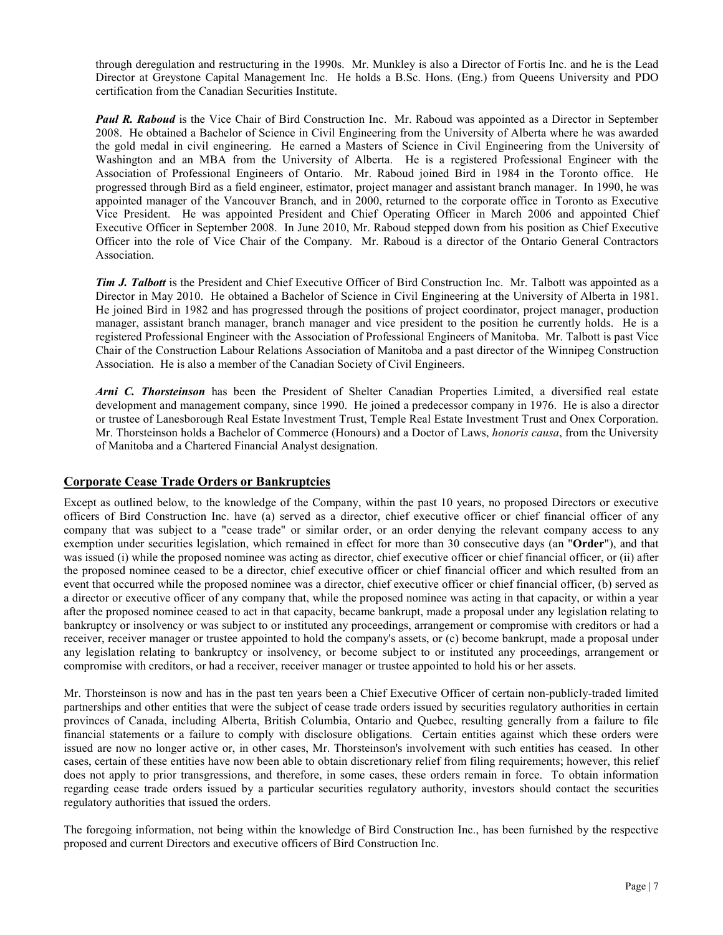through deregulation and restructuring in the 1990s. Mr. Munkley is also a Director of Fortis Inc. and he is the Lead Director at Greystone Capital Management Inc. He holds a B.Sc. Hons. (Eng.) from Queens University and PDO certification from the Canadian Securities Institute.

*Paul R. Raboud* is the Vice Chair of Bird Construction Inc. Mr. Raboud was appointed as a Director in September 2008. He obtained a Bachelor of Science in Civil Engineering from the University of Alberta where he was awarded the gold medal in civil engineering. He earned a Masters of Science in Civil Engineering from the University of Washington and an MBA from the University of Alberta. He is a registered Professional Engineer with the Association of Professional Engineers of Ontario. Mr. Raboud joined Bird in 1984 in the Toronto office. He progressed through Bird as a field engineer, estimator, project manager and assistant branch manager. In 1990, he was appointed manager of the Vancouver Branch, and in 2000, returned to the corporate office in Toronto as Executive Vice President. He was appointed President and Chief Operating Officer in March 2006 and appointed Chief Executive Officer in September 2008. In June 2010, Mr. Raboud stepped down from his position as Chief Executive Officer into the role of Vice Chair of the Company. Mr. Raboud is a director of the Ontario General Contractors Association.

*Tim J. Talbott* is the President and Chief Executive Officer of Bird Construction Inc. Mr. Talbott was appointed as a Director in May 2010. He obtained a Bachelor of Science in Civil Engineering at the University of Alberta in 1981. He joined Bird in 1982 and has progressed through the positions of project coordinator, project manager, production manager, assistant branch manager, branch manager and vice president to the position he currently holds. He is a registered Professional Engineer with the Association of Professional Engineers of Manitoba. Mr. Talbott is past Vice Chair of the Construction Labour Relations Association of Manitoba and a past director of the Winnipeg Construction Association. He is also a member of the Canadian Society of Civil Engineers.

*Arni C. Thorsteinson* has been the President of Shelter Canadian Properties Limited, a diversified real estate development and management company, since 1990. He joined a predecessor company in 1976. He is also a director or trustee of Lanesborough Real Estate Investment Trust, Temple Real Estate Investment Trust and Onex Corporation. Mr. Thorsteinson holds a Bachelor of Commerce (Honours) and a Doctor of Laws, *honoris causa*, from the University of Manitoba and a Chartered Financial Analyst designation.

### **Corporate Cease Trade Orders or Bankruptcies**

Except as outlined below, to the knowledge of the Company, within the past 10 years, no proposed Directors or executive officers of Bird Construction Inc. have (a) served as a director, chief executive officer or chief financial officer of any company that was subject to a "cease trade" or similar order, or an order denying the relevant company access to any exemption under securities legislation, which remained in effect for more than 30 consecutive days (an "**Order**"), and that was issued (i) while the proposed nominee was acting as director, chief executive officer or chief financial officer, or (ii) after the proposed nominee ceased to be a director, chief executive officer or chief financial officer and which resulted from an event that occurred while the proposed nominee was a director, chief executive officer or chief financial officer, (b) served as a director or executive officer of any company that, while the proposed nominee was acting in that capacity, or within a year after the proposed nominee ceased to act in that capacity, became bankrupt, made a proposal under any legislation relating to bankruptcy or insolvency or was subject to or instituted any proceedings, arrangement or compromise with creditors or had a receiver, receiver manager or trustee appointed to hold the company's assets, or (c) become bankrupt, made a proposal under any legislation relating to bankruptcy or insolvency, or become subject to or instituted any proceedings, arrangement or compromise with creditors, or had a receiver, receiver manager or trustee appointed to hold his or her assets.

Mr. Thorsteinson is now and has in the past ten years been a Chief Executive Officer of certain non-publicly-traded limited partnerships and other entities that were the subject of cease trade orders issued by securities regulatory authorities in certain provinces of Canada, including Alberta, British Columbia, Ontario and Quebec, resulting generally from a failure to file financial statements or a failure to comply with disclosure obligations. Certain entities against which these orders were issued are now no longer active or, in other cases, Mr. Thorsteinson's involvement with such entities has ceased. In other cases, certain of these entities have now been able to obtain discretionary relief from filing requirements; however, this relief does not apply to prior transgressions, and therefore, in some cases, these orders remain in force. To obtain information regarding cease trade orders issued by a particular securities regulatory authority, investors should contact the securities regulatory authorities that issued the orders.

The foregoing information, not being within the knowledge of Bird Construction Inc., has been furnished by the respective proposed and current Directors and executive officers of Bird Construction Inc.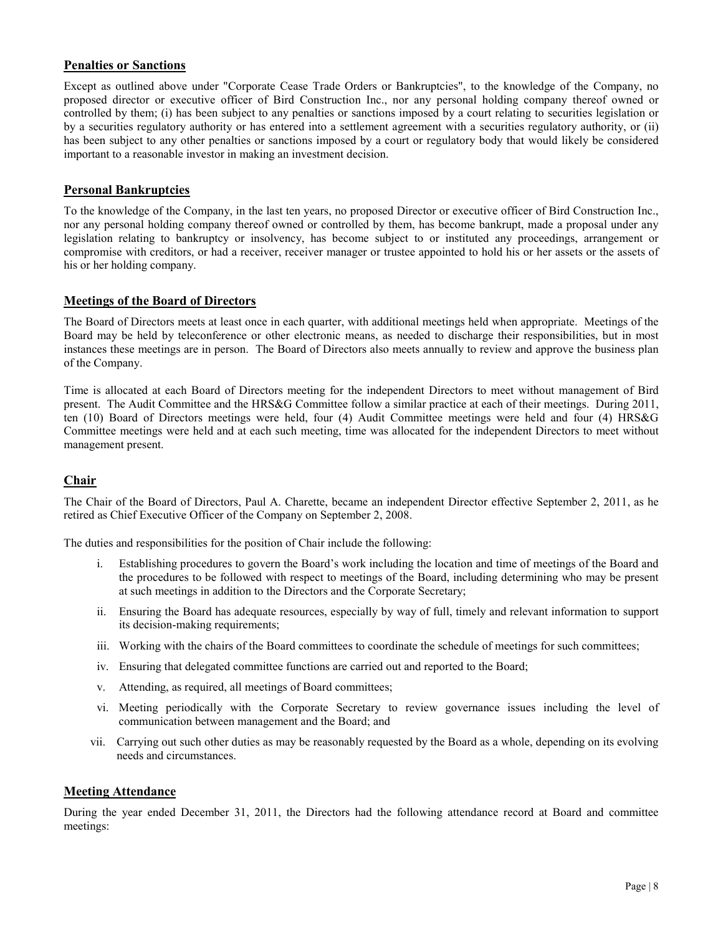# **Penalties or Sanctions**

Except as outlined above under "Corporate Cease Trade Orders or Bankruptcies", to the knowledge of the Company, no proposed director or executive officer of Bird Construction Inc., nor any personal holding company thereof owned or controlled by them; (i) has been subject to any penalties or sanctions imposed by a court relating to securities legislation or by a securities regulatory authority or has entered into a settlement agreement with a securities regulatory authority, or (ii) has been subject to any other penalties or sanctions imposed by a court or regulatory body that would likely be considered important to a reasonable investor in making an investment decision.

# **Personal Bankruptcies**

To the knowledge of the Company, in the last ten years, no proposed Director or executive officer of Bird Construction Inc., nor any personal holding company thereof owned or controlled by them, has become bankrupt, made a proposal under any legislation relating to bankruptcy or insolvency, has become subject to or instituted any proceedings, arrangement or compromise with creditors, or had a receiver, receiver manager or trustee appointed to hold his or her assets or the assets of his or her holding company.

# **Meetings of the Board of Directors**

The Board of Directors meets at least once in each quarter, with additional meetings held when appropriate. Meetings of the Board may be held by teleconference or other electronic means, as needed to discharge their responsibilities, but in most instances these meetings are in person. The Board of Directors also meets annually to review and approve the business plan of the Company.

Time is allocated at each Board of Directors meeting for the independent Directors to meet without management of Bird present. The Audit Committee and the HRS&G Committee follow a similar practice at each of their meetings. During 2011, ten (10) Board of Directors meetings were held, four (4) Audit Committee meetings were held and four (4) HRS&G Committee meetings were held and at each such meeting, time was allocated for the independent Directors to meet without management present.

# **Chair**

The Chair of the Board of Directors, Paul A. Charette, became an independent Director effective September 2, 2011, as he retired as Chief Executive Officer of the Company on September 2, 2008.

The duties and responsibilities for the position of Chair include the following:

- i. Establishing procedures to govern the Board's work including the location and time of meetings of the Board and the procedures to be followed with respect to meetings of the Board, including determining who may be present at such meetings in addition to the Directors and the Corporate Secretary;
- ii. Ensuring the Board has adequate resources, especially by way of full, timely and relevant information to support its decision-making requirements;
- iii. Working with the chairs of the Board committees to coordinate the schedule of meetings for such committees;
- iv. Ensuring that delegated committee functions are carried out and reported to the Board;
- v. Attending, as required, all meetings of Board committees;
- vi. Meeting periodically with the Corporate Secretary to review governance issues including the level of communication between management and the Board; and
- vii. Carrying out such other duties as may be reasonably requested by the Board as a whole, depending on its evolving needs and circumstances.

# **Meeting Attendance**

During the year ended December 31, 2011, the Directors had the following attendance record at Board and committee meetings: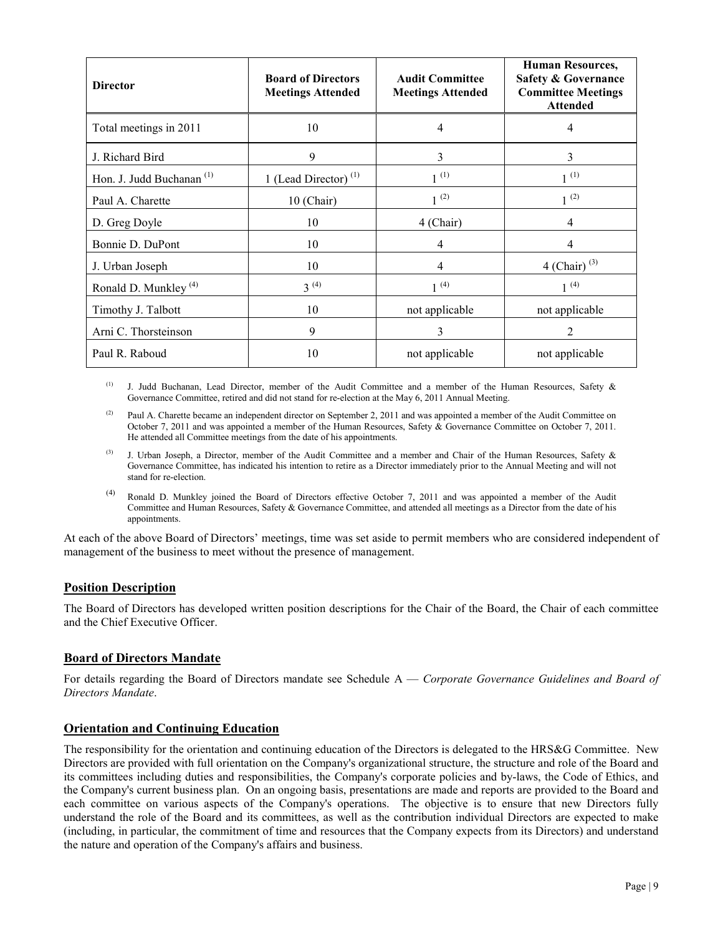| <b>Director</b>                      | <b>Board of Directors</b><br><b>Meetings Attended</b> | <b>Audit Committee</b><br><b>Meetings Attended</b> | <b>Human Resources,</b><br><b>Safety &amp; Governance</b><br><b>Committee Meetings</b><br><b>Attended</b> |
|--------------------------------------|-------------------------------------------------------|----------------------------------------------------|-----------------------------------------------------------------------------------------------------------|
| Total meetings in 2011               | 10                                                    | 4                                                  | 4                                                                                                         |
| J. Richard Bird                      | 9                                                     | 3                                                  | 3                                                                                                         |
| Hon. J. Judd Buchanan <sup>(1)</sup> | 1 (Lead Director) $(1)$                               | $1^{(1)}$                                          | $1^{(1)}$                                                                                                 |
| Paul A. Charette                     | 10 (Chair)                                            | $1^{(2)}$                                          | $1^{(2)}$                                                                                                 |
| D. Greg Doyle                        | 10                                                    | 4 (Chair)                                          | 4                                                                                                         |
| Bonnie D. DuPont                     | 10                                                    | 4                                                  | 4                                                                                                         |
| J. Urban Joseph                      | 10                                                    | 4                                                  | $4$ (Chair) <sup>(3)</sup>                                                                                |
| Ronald D. Munkley <sup>(4)</sup>     | $3^{(4)}$                                             | $1^{(4)}$                                          | $1^{(4)}$                                                                                                 |
| Timothy J. Talbott                   | 10                                                    | not applicable                                     | not applicable                                                                                            |
| Arni C. Thorsteinson                 | 9                                                     | 3                                                  | 2                                                                                                         |
| Paul R. Raboud                       | 10                                                    | not applicable                                     | not applicable                                                                                            |

(1) J. Judd Buchanan, Lead Director, member of the Audit Committee and a member of the Human Resources, Safety  $\&$ Governance Committee, retired and did not stand for re-election at the May 6, 2011 Annual Meeting.

<sup>(2)</sup> Paul A. Charette became an independent director on September 2, 2011 and was appointed a member of the Audit Committee on October 7, 2011 and was appointed a member of the Human Resources, Safety & Governance Committee on October 7, 2011. He attended all Committee meetings from the date of his appointments.

- (3) J. Urban Joseph, a Director, member of the Audit Committee and a member and Chair of the Human Resources, Safety  $\&$ Governance Committee, has indicated his intention to retire as a Director immediately prior to the Annual Meeting and will not stand for re-election.
- (4) Ronald D. Munkley joined the Board of Directors effective October 7, 2011 and was appointed a member of the Audit Committee and Human Resources, Safety & Governance Committee, and attended all meetings as a Director from the date of his appointments.

At each of the above Board of Directors' meetings, time was set aside to permit members who are considered independent of management of the business to meet without the presence of management.

# **Position Description**

The Board of Directors has developed written position descriptions for the Chair of the Board, the Chair of each committee and the Chief Executive Officer.

# **Board of Directors Mandate**

For details regarding the Board of Directors mandate see Schedule A — *Corporate Governance Guidelines and Board of Directors Mandate*.

### **Orientation and Continuing Education**

The responsibility for the orientation and continuing education of the Directors is delegated to the HRS&G Committee. New Directors are provided with full orientation on the Company's organizational structure, the structure and role of the Board and its committees including duties and responsibilities, the Company's corporate policies and by-laws, the Code of Ethics, and the Company's current business plan. On an ongoing basis, presentations are made and reports are provided to the Board and each committee on various aspects of the Company's operations. The objective is to ensure that new Directors fully understand the role of the Board and its committees, as well as the contribution individual Directors are expected to make (including, in particular, the commitment of time and resources that the Company expects from its Directors) and understand the nature and operation of the Company's affairs and business.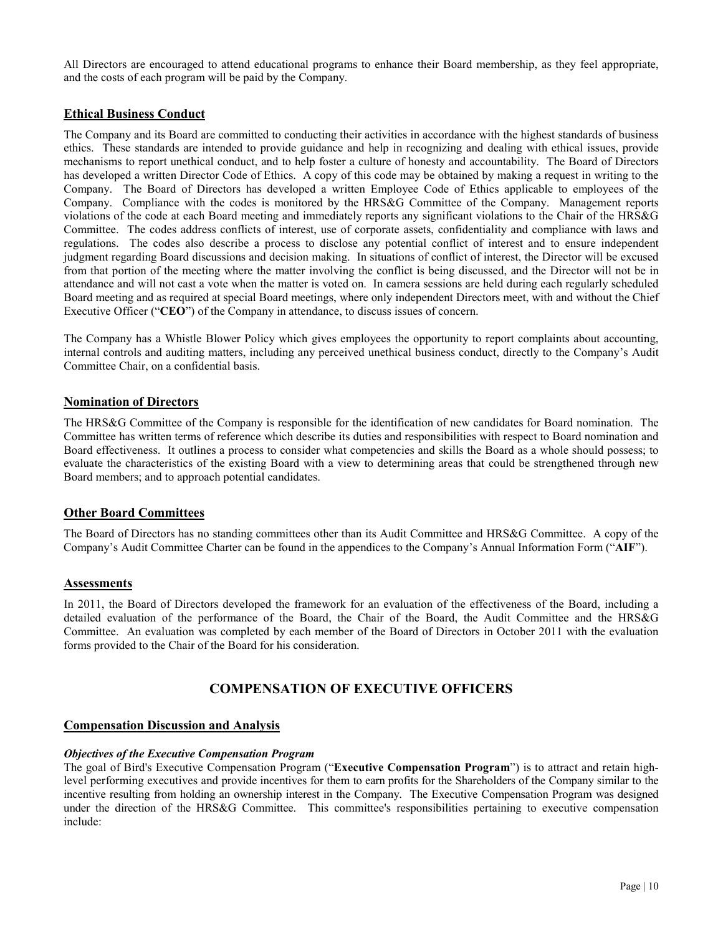All Directors are encouraged to attend educational programs to enhance their Board membership, as they feel appropriate, and the costs of each program will be paid by the Company.

# **Ethical Business Conduct**

The Company and its Board are committed to conducting their activities in accordance with the highest standards of business ethics. These standards are intended to provide guidance and help in recognizing and dealing with ethical issues, provide mechanisms to report unethical conduct, and to help foster a culture of honesty and accountability. The Board of Directors has developed a written Director Code of Ethics. A copy of this code may be obtained by making a request in writing to the Company. The Board of Directors has developed a written Employee Code of Ethics applicable to employees of the Company. Compliance with the codes is monitored by the HRS&G Committee of the Company. Management reports violations of the code at each Board meeting and immediately reports any significant violations to the Chair of the HRS&G Committee. The codes address conflicts of interest, use of corporate assets, confidentiality and compliance with laws and regulations. The codes also describe a process to disclose any potential conflict of interest and to ensure independent judgment regarding Board discussions and decision making. In situations of conflict of interest, the Director will be excused from that portion of the meeting where the matter involving the conflict is being discussed, and the Director will not be in attendance and will not cast a vote when the matter is voted on. In camera sessions are held during each regularly scheduled Board meeting and as required at special Board meetings, where only independent Directors meet, with and without the Chief Executive Officer ("**CEO**") of the Company in attendance, to discuss issues of concern.

The Company has a Whistle Blower Policy which gives employees the opportunity to report complaints about accounting, internal controls and auditing matters, including any perceived unethical business conduct, directly to the Company's Audit Committee Chair, on a confidential basis.

# **Nomination of Directors**

The HRS&G Committee of the Company is responsible for the identification of new candidates for Board nomination. The Committee has written terms of reference which describe its duties and responsibilities with respect to Board nomination and Board effectiveness. It outlines a process to consider what competencies and skills the Board as a whole should possess; to evaluate the characteristics of the existing Board with a view to determining areas that could be strengthened through new Board members; and to approach potential candidates.

# **Other Board Committees**

The Board of Directors has no standing committees other than its Audit Committee and HRS&G Committee. A copy of the Company's Audit Committee Charter can be found in the appendices to the Company's Annual Information Form ("**AIF**").

### **Assessments**

In 2011, the Board of Directors developed the framework for an evaluation of the effectiveness of the Board, including a detailed evaluation of the performance of the Board, the Chair of the Board, the Audit Committee and the HRS&G Committee. An evaluation was completed by each member of the Board of Directors in October 2011 with the evaluation forms provided to the Chair of the Board for his consideration.

# **COMPENSATION OF EXECUTIVE OFFICERS**

### **Compensation Discussion and Analysis**

#### *Objectives of the Executive Compensation Program*

The goal of Bird's Executive Compensation Program ("**Executive Compensation Program**") is to attract and retain highlevel performing executives and provide incentives for them to earn profits for the Shareholders of the Company similar to the incentive resulting from holding an ownership interest in the Company. The Executive Compensation Program was designed under the direction of the HRS&G Committee. This committee's responsibilities pertaining to executive compensation include: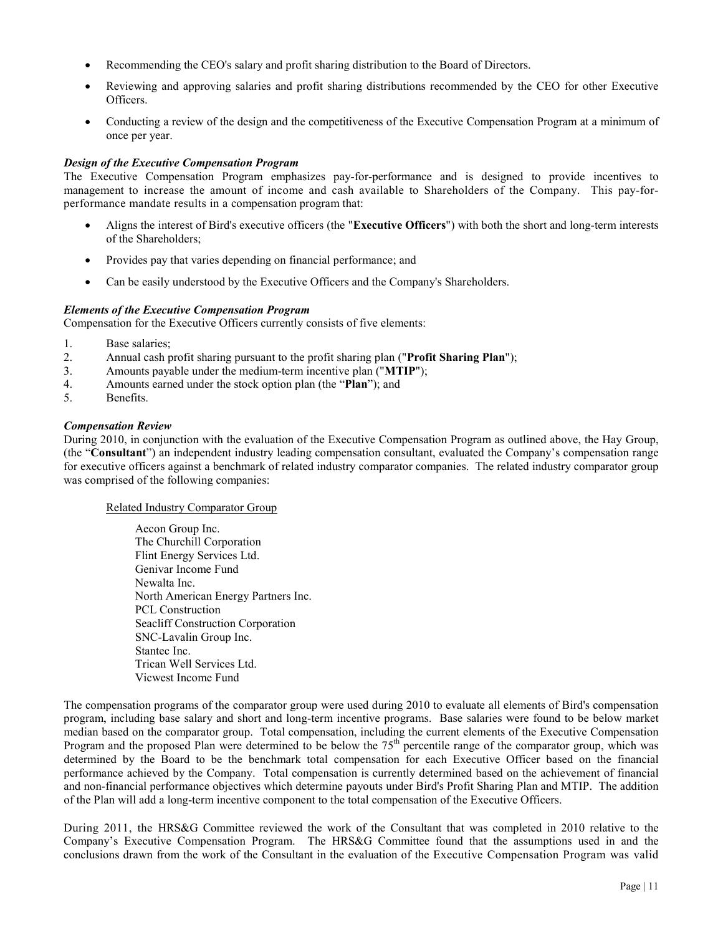- Recommending the CEO's salary and profit sharing distribution to the Board of Directors.
- Reviewing and approving salaries and profit sharing distributions recommended by the CEO for other Executive Officers.
- Conducting a review of the design and the competitiveness of the Executive Compensation Program at a minimum of once per year.

### *Design of the Executive Compensation Program*

The Executive Compensation Program emphasizes pay-for-performance and is designed to provide incentives to management to increase the amount of income and cash available to Shareholders of the Company. This pay-forperformance mandate results in a compensation program that:

- Aligns the interest of Bird's executive officers (the "**Executive Officers**") with both the short and long-term interests of the Shareholders;
- Provides pay that varies depending on financial performance; and
- Can be easily understood by the Executive Officers and the Company's Shareholders.

### *Elements of the Executive Compensation Program*

Compensation for the Executive Officers currently consists of five elements:

- 1. Base salaries;
- 2. Annual cash profit sharing pursuant to the profit sharing plan ("**Profit Sharing Plan**");
- 3. Amounts payable under the medium-term incentive plan ("**MTIP**");
- 4. Amounts earned under the stock option plan (the "**Plan**"); and
- 5. Benefits.

### *Compensation Review*

During 2010, in conjunction with the evaluation of the Executive Compensation Program as outlined above, the Hay Group, (the "**Consultant**") an independent industry leading compensation consultant, evaluated the Company's compensation range for executive officers against a benchmark of related industry comparator companies. The related industry comparator group was comprised of the following companies:

### Related Industry Comparator Group

Aecon Group Inc. The Churchill Corporation Flint Energy Services Ltd. Genivar Income Fund Newalta Inc. North American Energy Partners Inc. PCL Construction Seacliff Construction Corporation SNC-Lavalin Group Inc. Stantec Inc. Trican Well Services Ltd. Vicwest Income Fund

The compensation programs of the comparator group were used during 2010 to evaluate all elements of Bird's compensation program, including base salary and short and long-term incentive programs. Base salaries were found to be below market median based on the comparator group. Total compensation, including the current elements of the Executive Compensation Program and the proposed Plan were determined to be below the 75<sup>th</sup> percentile range of the comparator group, which was determined by the Board to be the benchmark total compensation for each Executive Officer based on the financial performance achieved by the Company. Total compensation is currently determined based on the achievement of financial and non-financial performance objectives which determine payouts under Bird's Profit Sharing Plan and MTIP. The addition of the Plan will add a long-term incentive component to the total compensation of the Executive Officers.

During 2011, the HRS&G Committee reviewed the work of the Consultant that was completed in 2010 relative to the Company's Executive Compensation Program. The HRS&G Committee found that the assumptions used in and the conclusions drawn from the work of the Consultant in the evaluation of the Executive Compensation Program was valid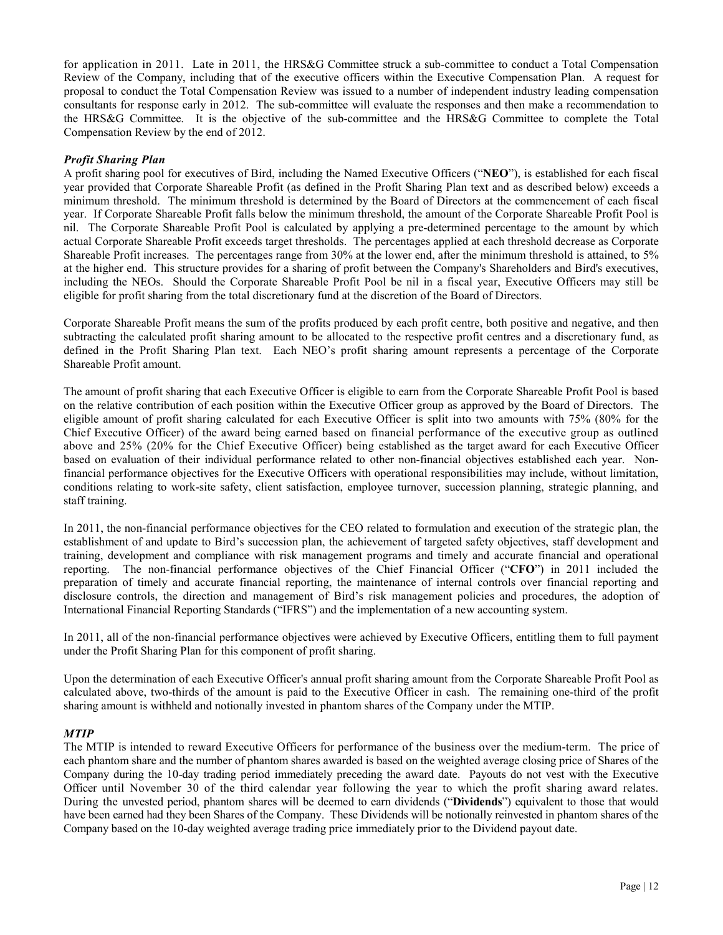for application in 2011. Late in 2011, the HRS&G Committee struck a sub-committee to conduct a Total Compensation Review of the Company, including that of the executive officers within the Executive Compensation Plan. A request for proposal to conduct the Total Compensation Review was issued to a number of independent industry leading compensation consultants for response early in 2012. The sub-committee will evaluate the responses and then make a recommendation to the HRS&G Committee. It is the objective of the sub-committee and the HRS&G Committee to complete the Total Compensation Review by the end of 2012.

### *Profit Sharing Plan*

A profit sharing pool for executives of Bird, including the Named Executive Officers ("**NEO**"), is established for each fiscal year provided that Corporate Shareable Profit (as defined in the Profit Sharing Plan text and as described below) exceeds a minimum threshold. The minimum threshold is determined by the Board of Directors at the commencement of each fiscal year. If Corporate Shareable Profit falls below the minimum threshold, the amount of the Corporate Shareable Profit Pool is nil. The Corporate Shareable Profit Pool is calculated by applying a pre-determined percentage to the amount by which actual Corporate Shareable Profit exceeds target thresholds. The percentages applied at each threshold decrease as Corporate Shareable Profit increases. The percentages range from 30% at the lower end, after the minimum threshold is attained, to 5% at the higher end. This structure provides for a sharing of profit between the Company's Shareholders and Bird's executives, including the NEOs. Should the Corporate Shareable Profit Pool be nil in a fiscal year, Executive Officers may still be eligible for profit sharing from the total discretionary fund at the discretion of the Board of Directors.

Corporate Shareable Profit means the sum of the profits produced by each profit centre, both positive and negative, and then subtracting the calculated profit sharing amount to be allocated to the respective profit centres and a discretionary fund, as defined in the Profit Sharing Plan text. Each NEO's profit sharing amount represents a percentage of the Corporate Shareable Profit amount.

The amount of profit sharing that each Executive Officer is eligible to earn from the Corporate Shareable Profit Pool is based on the relative contribution of each position within the Executive Officer group as approved by the Board of Directors. The eligible amount of profit sharing calculated for each Executive Officer is split into two amounts with 75% (80% for the Chief Executive Officer) of the award being earned based on financial performance of the executive group as outlined above and 25% (20% for the Chief Executive Officer) being established as the target award for each Executive Officer based on evaluation of their individual performance related to other non-financial objectives established each year. Nonfinancial performance objectives for the Executive Officers with operational responsibilities may include, without limitation, conditions relating to work-site safety, client satisfaction, employee turnover, succession planning, strategic planning, and staff training.

In 2011, the non-financial performance objectives for the CEO related to formulation and execution of the strategic plan, the establishment of and update to Bird's succession plan, the achievement of targeted safety objectives, staff development and training, development and compliance with risk management programs and timely and accurate financial and operational reporting. The non-financial performance objectives of the Chief Financial Officer ("**CFO**") in 2011 included the preparation of timely and accurate financial reporting, the maintenance of internal controls over financial reporting and disclosure controls, the direction and management of Bird's risk management policies and procedures, the adoption of International Financial Reporting Standards ("IFRS") and the implementation of a new accounting system.

In 2011, all of the non-financial performance objectives were achieved by Executive Officers, entitling them to full payment under the Profit Sharing Plan for this component of profit sharing.

Upon the determination of each Executive Officer's annual profit sharing amount from the Corporate Shareable Profit Pool as calculated above, two-thirds of the amount is paid to the Executive Officer in cash. The remaining one-third of the profit sharing amount is withheld and notionally invested in phantom shares of the Company under the MTIP.

#### *MTIP*

The MTIP is intended to reward Executive Officers for performance of the business over the medium-term. The price of each phantom share and the number of phantom shares awarded is based on the weighted average closing price of Shares of the Company during the 10-day trading period immediately preceding the award date. Payouts do not vest with the Executive Officer until November 30 of the third calendar year following the year to which the profit sharing award relates. During the unvested period, phantom shares will be deemed to earn dividends ("**Dividends**") equivalent to those that would have been earned had they been Shares of the Company. These Dividends will be notionally reinvested in phantom shares of the Company based on the 10-day weighted average trading price immediately prior to the Dividend payout date.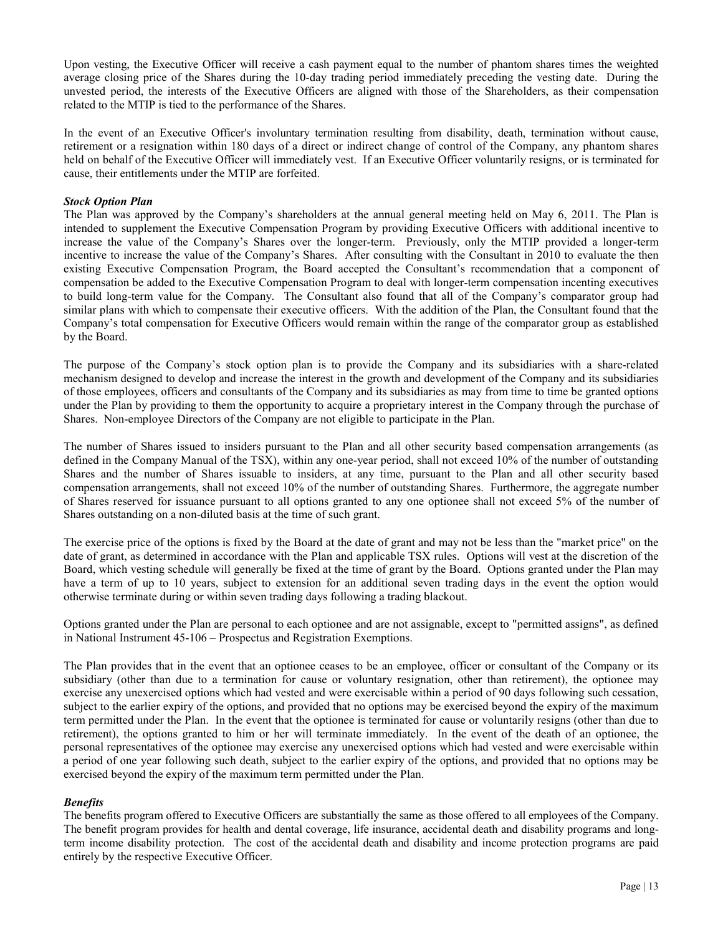Upon vesting, the Executive Officer will receive a cash payment equal to the number of phantom shares times the weighted average closing price of the Shares during the 10-day trading period immediately preceding the vesting date. During the unvested period, the interests of the Executive Officers are aligned with those of the Shareholders, as their compensation related to the MTIP is tied to the performance of the Shares.

In the event of an Executive Officer's involuntary termination resulting from disability, death, termination without cause, retirement or a resignation within 180 days of a direct or indirect change of control of the Company, any phantom shares held on behalf of the Executive Officer will immediately vest. If an Executive Officer voluntarily resigns, or is terminated for cause, their entitlements under the MTIP are forfeited.

### *Stock Option Plan*

The Plan was approved by the Company's shareholders at the annual general meeting held on May 6, 2011. The Plan is intended to supplement the Executive Compensation Program by providing Executive Officers with additional incentive to increase the value of the Company's Shares over the longer-term. Previously, only the MTIP provided a longer-term incentive to increase the value of the Company's Shares. After consulting with the Consultant in 2010 to evaluate the then existing Executive Compensation Program, the Board accepted the Consultant's recommendation that a component of compensation be added to the Executive Compensation Program to deal with longer-term compensation incenting executives to build long-term value for the Company. The Consultant also found that all of the Company's comparator group had similar plans with which to compensate their executive officers. With the addition of the Plan, the Consultant found that the Company's total compensation for Executive Officers would remain within the range of the comparator group as established by the Board.

The purpose of the Company's stock option plan is to provide the Company and its subsidiaries with a share-related mechanism designed to develop and increase the interest in the growth and development of the Company and its subsidiaries of those employees, officers and consultants of the Company and its subsidiaries as may from time to time be granted options under the Plan by providing to them the opportunity to acquire a proprietary interest in the Company through the purchase of Shares. Non-employee Directors of the Company are not eligible to participate in the Plan.

The number of Shares issued to insiders pursuant to the Plan and all other security based compensation arrangements (as defined in the Company Manual of the TSX), within any one-year period, shall not exceed 10% of the number of outstanding Shares and the number of Shares issuable to insiders, at any time, pursuant to the Plan and all other security based compensation arrangements, shall not exceed 10% of the number of outstanding Shares. Furthermore, the aggregate number of Shares reserved for issuance pursuant to all options granted to any one optionee shall not exceed 5% of the number of Shares outstanding on a non-diluted basis at the time of such grant.

The exercise price of the options is fixed by the Board at the date of grant and may not be less than the "market price" on the date of grant, as determined in accordance with the Plan and applicable TSX rules. Options will vest at the discretion of the Board, which vesting schedule will generally be fixed at the time of grant by the Board. Options granted under the Plan may have a term of up to 10 years, subject to extension for an additional seven trading days in the event the option would otherwise terminate during or within seven trading days following a trading blackout.

Options granted under the Plan are personal to each optionee and are not assignable, except to "permitted assigns", as defined in National Instrument 45-106 – Prospectus and Registration Exemptions.

The Plan provides that in the event that an optionee ceases to be an employee, officer or consultant of the Company or its subsidiary (other than due to a termination for cause or voluntary resignation, other than retirement), the optionee may exercise any unexercised options which had vested and were exercisable within a period of 90 days following such cessation, subject to the earlier expiry of the options, and provided that no options may be exercised beyond the expiry of the maximum term permitted under the Plan. In the event that the optionee is terminated for cause or voluntarily resigns (other than due to retirement), the options granted to him or her will terminate immediately. In the event of the death of an optionee, the personal representatives of the optionee may exercise any unexercised options which had vested and were exercisable within a period of one year following such death, subject to the earlier expiry of the options, and provided that no options may be exercised beyond the expiry of the maximum term permitted under the Plan.

#### *Benefits*

The benefits program offered to Executive Officers are substantially the same as those offered to all employees of the Company. The benefit program provides for health and dental coverage, life insurance, accidental death and disability programs and longterm income disability protection. The cost of the accidental death and disability and income protection programs are paid entirely by the respective Executive Officer.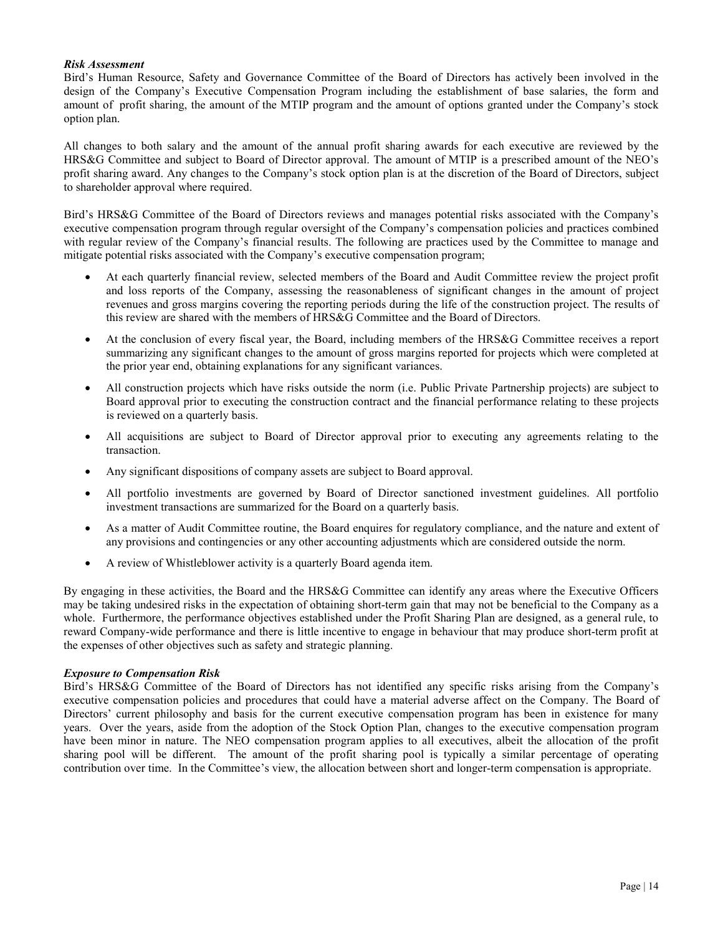### *Risk Assessment*

Bird's Human Resource, Safety and Governance Committee of the Board of Directors has actively been involved in the design of the Company's Executive Compensation Program including the establishment of base salaries, the form and amount of profit sharing, the amount of the MTIP program and the amount of options granted under the Company's stock option plan.

All changes to both salary and the amount of the annual profit sharing awards for each executive are reviewed by the HRS&G Committee and subject to Board of Director approval. The amount of MTIP is a prescribed amount of the NEO's profit sharing award. Any changes to the Company's stock option plan is at the discretion of the Board of Directors, subject to shareholder approval where required.

Bird's HRS&G Committee of the Board of Directors reviews and manages potential risks associated with the Company's executive compensation program through regular oversight of the Company's compensation policies and practices combined with regular review of the Company's financial results. The following are practices used by the Committee to manage and mitigate potential risks associated with the Company's executive compensation program;

- At each quarterly financial review, selected members of the Board and Audit Committee review the project profit and loss reports of the Company, assessing the reasonableness of significant changes in the amount of project revenues and gross margins covering the reporting periods during the life of the construction project. The results of this review are shared with the members of HRS&G Committee and the Board of Directors.
- At the conclusion of every fiscal year, the Board, including members of the HRS&G Committee receives a report summarizing any significant changes to the amount of gross margins reported for projects which were completed at the prior year end, obtaining explanations for any significant variances.
- All construction projects which have risks outside the norm (i.e. Public Private Partnership projects) are subject to Board approval prior to executing the construction contract and the financial performance relating to these projects is reviewed on a quarterly basis.
- All acquisitions are subject to Board of Director approval prior to executing any agreements relating to the transaction.
- Any significant dispositions of company assets are subject to Board approval.
- All portfolio investments are governed by Board of Director sanctioned investment guidelines. All portfolio investment transactions are summarized for the Board on a quarterly basis.
- As a matter of Audit Committee routine, the Board enquires for regulatory compliance, and the nature and extent of any provisions and contingencies or any other accounting adjustments which are considered outside the norm.
- A review of Whistleblower activity is a quarterly Board agenda item.

By engaging in these activities, the Board and the HRS&G Committee can identify any areas where the Executive Officers may be taking undesired risks in the expectation of obtaining short-term gain that may not be beneficial to the Company as a whole. Furthermore, the performance objectives established under the Profit Sharing Plan are designed, as a general rule, to reward Company-wide performance and there is little incentive to engage in behaviour that may produce short-term profit at the expenses of other objectives such as safety and strategic planning.

#### *Exposure to Compensation Risk*

Bird's HRS&G Committee of the Board of Directors has not identified any specific risks arising from the Company's executive compensation policies and procedures that could have a material adverse affect on the Company. The Board of Directors' current philosophy and basis for the current executive compensation program has been in existence for many years. Over the years, aside from the adoption of the Stock Option Plan, changes to the executive compensation program have been minor in nature. The NEO compensation program applies to all executives, albeit the allocation of the profit sharing pool will be different. The amount of the profit sharing pool is typically a similar percentage of operating contribution over time. In the Committee's view, the allocation between short and longer-term compensation is appropriate.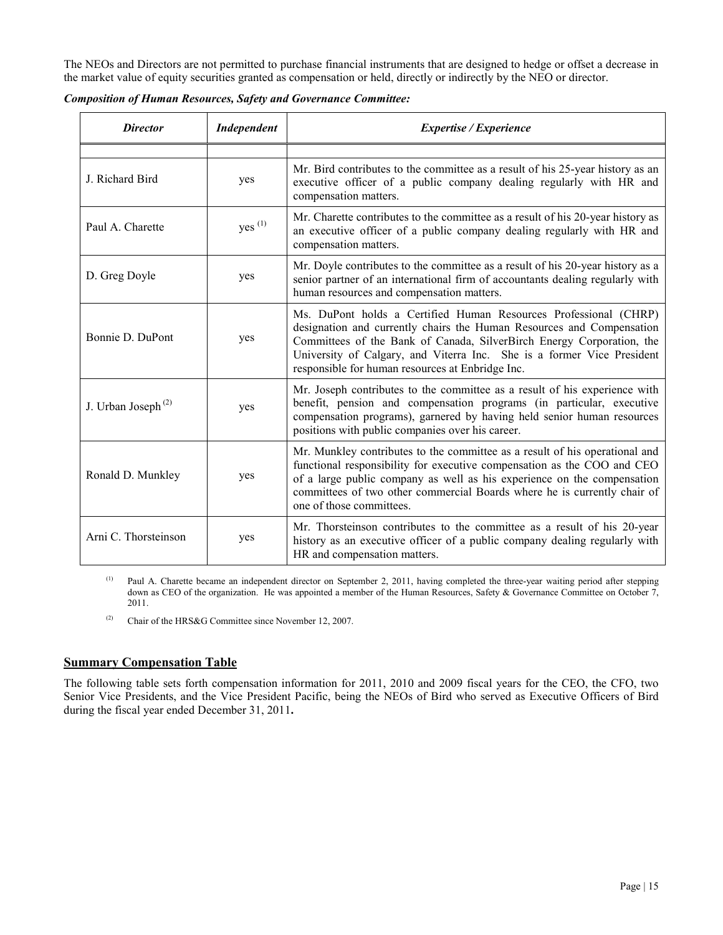The NEOs and Directors are not permitted to purchase financial instruments that are designed to hedge or offset a decrease in the market value of equity securities granted as compensation or held, directly or indirectly by the NEO or director.

| <b>Director</b>                | Independent        | Expertise / Experience                                                                                                                                                                                                                                                                                                                           |
|--------------------------------|--------------------|--------------------------------------------------------------------------------------------------------------------------------------------------------------------------------------------------------------------------------------------------------------------------------------------------------------------------------------------------|
|                                |                    |                                                                                                                                                                                                                                                                                                                                                  |
| J. Richard Bird                | yes                | Mr. Bird contributes to the committee as a result of his 25-year history as an<br>executive officer of a public company dealing regularly with HR and<br>compensation matters.                                                                                                                                                                   |
| Paul A. Charette               | yes <sup>(1)</sup> | Mr. Charette contributes to the committee as a result of his 20-year history as<br>an executive officer of a public company dealing regularly with HR and<br>compensation matters.                                                                                                                                                               |
| D. Greg Doyle                  | yes                | Mr. Doyle contributes to the committee as a result of his 20-year history as a<br>senior partner of an international firm of accountants dealing regularly with<br>human resources and compensation matters.                                                                                                                                     |
| Bonnie D. DuPont               | yes                | Ms. DuPont holds a Certified Human Resources Professional (CHRP)<br>designation and currently chairs the Human Resources and Compensation<br>Committees of the Bank of Canada, SilverBirch Energy Corporation, the<br>University of Calgary, and Viterra Inc. She is a former Vice President<br>responsible for human resources at Enbridge Inc. |
| J. Urban Joseph <sup>(2)</sup> | yes                | Mr. Joseph contributes to the committee as a result of his experience with<br>benefit, pension and compensation programs (in particular, executive<br>compensation programs), garnered by having held senior human resources<br>positions with public companies over his career.                                                                 |
| Ronald D. Munkley              | yes                | Mr. Munkley contributes to the committee as a result of his operational and<br>functional responsibility for executive compensation as the COO and CEO<br>of a large public company as well as his experience on the compensation<br>committees of two other commercial Boards where he is currently chair of<br>one of those committees.        |
| Arni C. Thorsteinson           | yes                | Mr. Thorsteinson contributes to the committee as a result of his 20-year<br>history as an executive officer of a public company dealing regularly with<br>HR and compensation matters.                                                                                                                                                           |

*Composition of Human Resources, Safety and Governance Committee:*

(1) Paul A. Charette became an independent director on September 2, 2011, having completed the three-year waiting period after stepping down as CEO of the organization. He was appointed a member of the Human Resources, Safety & Governance Committee on October 7, 2011.

(2) Chair of the HRS&G Committee since November 12, 2007.

# **Summary Compensation Table**

The following table sets forth compensation information for 2011, 2010 and 2009 fiscal years for the CEO, the CFO, two Senior Vice Presidents, and the Vice President Pacific, being the NEOs of Bird who served as Executive Officers of Bird during the fiscal year ended December 31, 2011**.**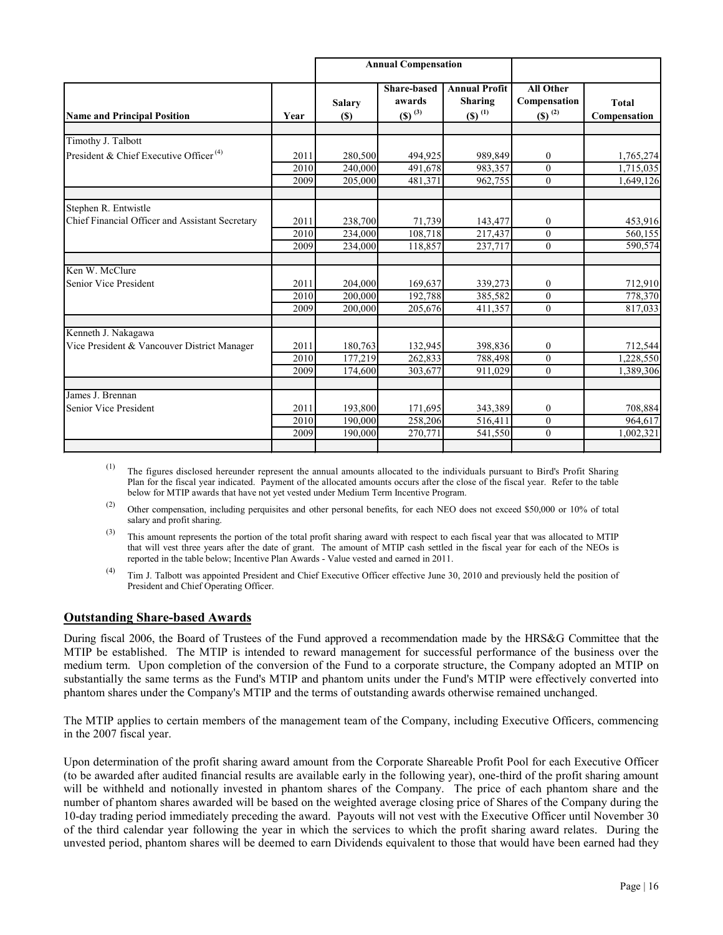|                                                                    |      | <b>Annual Compensation</b> |                                                      |                                                         |                                                          |                              |
|--------------------------------------------------------------------|------|----------------------------|------------------------------------------------------|---------------------------------------------------------|----------------------------------------------------------|------------------------------|
| <b>Name and Principal Position</b>                                 | Year | <b>Salary</b><br>(S)       | <b>Share-based</b><br>awards<br>$(S)$ <sup>(3)</sup> | <b>Annual Profit</b><br>Sharing<br>$(S)$ <sup>(1)</sup> | <b>All Other</b><br>Compensation<br>$(S)$ <sup>(2)</sup> | <b>Total</b><br>Compensation |
|                                                                    |      |                            |                                                      |                                                         |                                                          |                              |
| Timothy J. Talbott                                                 |      |                            |                                                      |                                                         |                                                          |                              |
| President & Chief Executive Officer <sup>(4)</sup>                 | 2011 | 280,500                    | 494,925                                              | 989,849                                                 | $\boldsymbol{0}$                                         | 1,765,274                    |
|                                                                    | 2010 | 240,000                    | 491,678                                              | 983,357                                                 | $\theta$                                                 | 1,715,035                    |
|                                                                    | 2009 | 205,000                    | 481,371                                              | 962,755                                                 | $\mathbf{0}$                                             | 1,649,126                    |
| Stephen R. Entwistle                                               |      |                            |                                                      |                                                         |                                                          |                              |
| Chief Financial Officer and Assistant Secretary                    | 2011 | 238,700                    | 71,739                                               | 143,477                                                 | $\boldsymbol{0}$                                         | 453,916                      |
|                                                                    | 2010 | 234,000                    | 108,718                                              | 217,437                                                 | $\mathbf{0}$                                             | 560,155                      |
|                                                                    | 2009 | 234,000                    | 118,857                                              | 237,717                                                 | $\theta$                                                 | 590,574                      |
| Ken W. McClure                                                     |      |                            |                                                      |                                                         |                                                          |                              |
| Senior Vice President                                              | 2011 | 204,000                    | 169,637                                              | 339,273                                                 | $\mathbf{0}$                                             | 712,910                      |
|                                                                    | 2010 | 200,000                    | 192,788                                              | 385,582                                                 | $\theta$                                                 | 778,370                      |
|                                                                    | 2009 | 200,000                    | 205,676                                              | 411,357                                                 | $\mathbf{0}$                                             | 817,033                      |
|                                                                    |      |                            |                                                      |                                                         |                                                          |                              |
| Kenneth J. Nakagawa<br>Vice President & Vancouver District Manager | 2011 | 180,763                    | 132,945                                              | 398,836                                                 | $\mathbf{0}$                                             | 712,544                      |
|                                                                    | 2010 | 177,219                    | 262,833                                              | 788,498                                                 | $\theta$                                                 | 1,228,550                    |
|                                                                    | 2009 | 174,600                    | 303,677                                              | 911,029                                                 | $\mathbf{0}$                                             | 1,389,306                    |
|                                                                    |      |                            |                                                      |                                                         |                                                          |                              |
| James J. Brennan                                                   |      |                            |                                                      |                                                         |                                                          |                              |
| Senior Vice President                                              | 2011 | 193,800                    | 171,695                                              | 343,389                                                 | $\mathbf{0}$                                             | 708,884                      |
|                                                                    | 2010 | 190,000                    | 258,206                                              | 516,411                                                 | $\mathbf{0}$                                             | 964,617                      |
|                                                                    | 2009 | 190,000                    | 270,771                                              | 541,550                                                 | $\theta$                                                 | 1,002,321                    |
|                                                                    |      |                            |                                                      |                                                         |                                                          |                              |

(1) The figures disclosed hereunder represent the annual amounts allocated to the individuals pursuant to Bird's Profit Sharing Plan for the fiscal year indicated. Payment of the allocated amounts occurs after the close of the fiscal year. Refer to the table below for MTIP awards that have not yet vested under Medium Term Incentive Program.

(2) Other compensation, including perquisites and other personal benefits, for each NEO does not exceed \$50,000 or 10% of total salary and profit sharing.

 $^{(3)}$  This amount represents the portion of the total profit sharing award with respect to each fiscal year that was allocated to MTIP that will vest three years after the date of grant. The amount of MTIP cash settled in the fiscal year for each of the NEOs is reported in the table below; Incentive Plan Awards - Value vested and earned in 2011.

 $(4)$  Tim J. Talbott was appointed President and Chief Executive Officer effective June 30, 2010 and previously held the position of President and Chief Operating Officer.

# **Outstanding Share-based Awards**

During fiscal 2006, the Board of Trustees of the Fund approved a recommendation made by the HRS&G Committee that the MTIP be established. The MTIP is intended to reward management for successful performance of the business over the medium term. Upon completion of the conversion of the Fund to a corporate structure, the Company adopted an MTIP on substantially the same terms as the Fund's MTIP and phantom units under the Fund's MTIP were effectively converted into phantom shares under the Company's MTIP and the terms of outstanding awards otherwise remained unchanged.

The MTIP applies to certain members of the management team of the Company, including Executive Officers, commencing in the 2007 fiscal year.

Upon determination of the profit sharing award amount from the Corporate Shareable Profit Pool for each Executive Officer (to be awarded after audited financial results are available early in the following year), one-third of the profit sharing amount will be withheld and notionally invested in phantom shares of the Company. The price of each phantom share and the number of phantom shares awarded will be based on the weighted average closing price of Shares of the Company during the 10-day trading period immediately preceding the award. Payouts will not vest with the Executive Officer until November 30 of the third calendar year following the year in which the services to which the profit sharing award relates. During the unvested period, phantom shares will be deemed to earn Dividends equivalent to those that would have been earned had they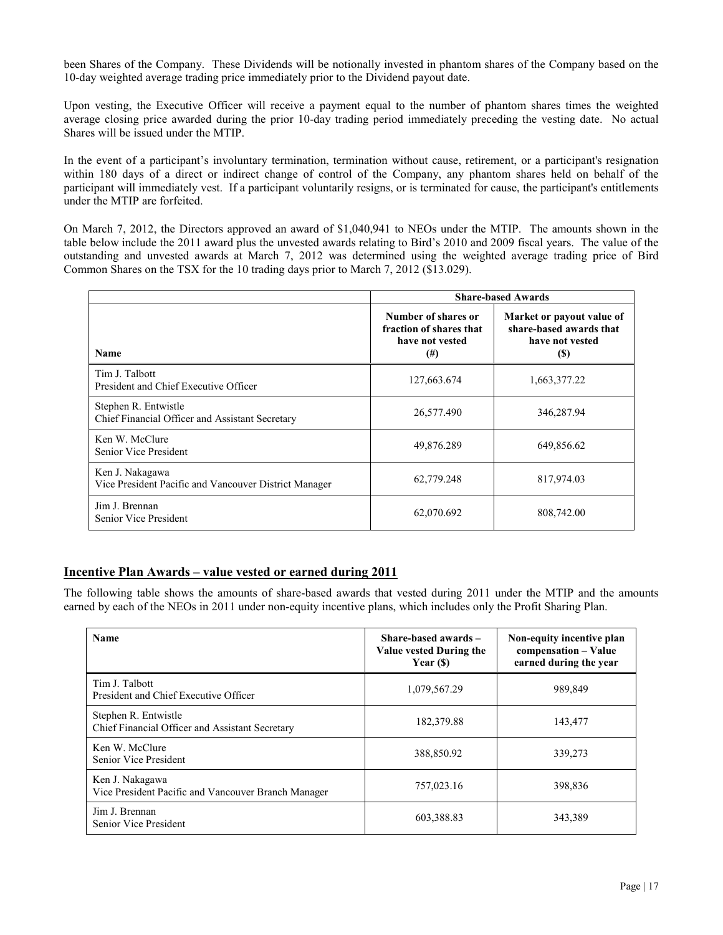been Shares of the Company. These Dividends will be notionally invested in phantom shares of the Company based on the 10-day weighted average trading price immediately prior to the Dividend payout date.

Upon vesting, the Executive Officer will receive a payment equal to the number of phantom shares times the weighted average closing price awarded during the prior 10-day trading period immediately preceding the vesting date. No actual Shares will be issued under the MTIP.

In the event of a participant's involuntary termination, termination without cause, retirement, or a participant's resignation within 180 days of a direct or indirect change of control of the Company, any phantom shares held on behalf of the participant will immediately vest. If a participant voluntarily resigns, or is terminated for cause, the participant's entitlements under the MTIP are forfeited.

On March 7, 2012, the Directors approved an award of \$1,040,941 to NEOs under the MTIP. The amounts shown in the table below include the 2011 award plus the unvested awards relating to Bird's 2010 and 2009 fiscal years. The value of the outstanding and unvested awards at March 7, 2012 was determined using the weighted average trading price of Bird Common Shares on the TSX for the 10 trading days prior to March 7, 2012 (\$13.029).

|                                                                          | <b>Share-based Awards</b>                                                     |                                                                                |  |
|--------------------------------------------------------------------------|-------------------------------------------------------------------------------|--------------------------------------------------------------------------------|--|
| <b>Name</b>                                                              | Number of shares or<br>fraction of shares that<br>have not vested<br>$^{(#)}$ | Market or payout value of<br>share-based awards that<br>have not vested<br>(S) |  |
| Tim J. Talbott<br>President and Chief Executive Officer                  | 127,663.674                                                                   | 1,663,377.22                                                                   |  |
| Stephen R. Entwistle<br>Chief Financial Officer and Assistant Secretary  | 26,577.490                                                                    | 346,287.94                                                                     |  |
| Ken W. McClure<br>Senior Vice President                                  | 49,876.289                                                                    | 649,856.62                                                                     |  |
| Ken J. Nakagawa<br>Vice President Pacific and Vancouver District Manager | 62,779.248                                                                    | 817,974.03                                                                     |  |
| Jim J. Brennan<br>Senior Vice President                                  | 62,070.692                                                                    | 808,742.00                                                                     |  |

### **Incentive Plan Awards – value vested or earned during 2011**

The following table shows the amounts of share-based awards that vested during 2011 under the MTIP and the amounts earned by each of the NEOs in 2011 under non-equity incentive plans, which includes only the Profit Sharing Plan.

| <b>Name</b>                                                             | Share-based awards $-$<br>Value vested During the<br>Year $(S)$ | Non-equity incentive plan<br>compensation - Value<br>earned during the year |
|-------------------------------------------------------------------------|-----------------------------------------------------------------|-----------------------------------------------------------------------------|
| Tim J. Talbott<br>President and Chief Executive Officer                 | 1,079,567.29                                                    | 989,849                                                                     |
| Stephen R. Entwistle<br>Chief Financial Officer and Assistant Secretary | 182,379.88                                                      | 143,477                                                                     |
| Ken W. McClure<br>Senior Vice President                                 | 388,850.92                                                      | 339,273                                                                     |
| Ken J. Nakagawa<br>Vice President Pacific and Vancouver Branch Manager  | 757,023.16                                                      | 398,836                                                                     |
| Jim J. Brennan<br>Senior Vice President                                 | 603,388.83                                                      | 343,389                                                                     |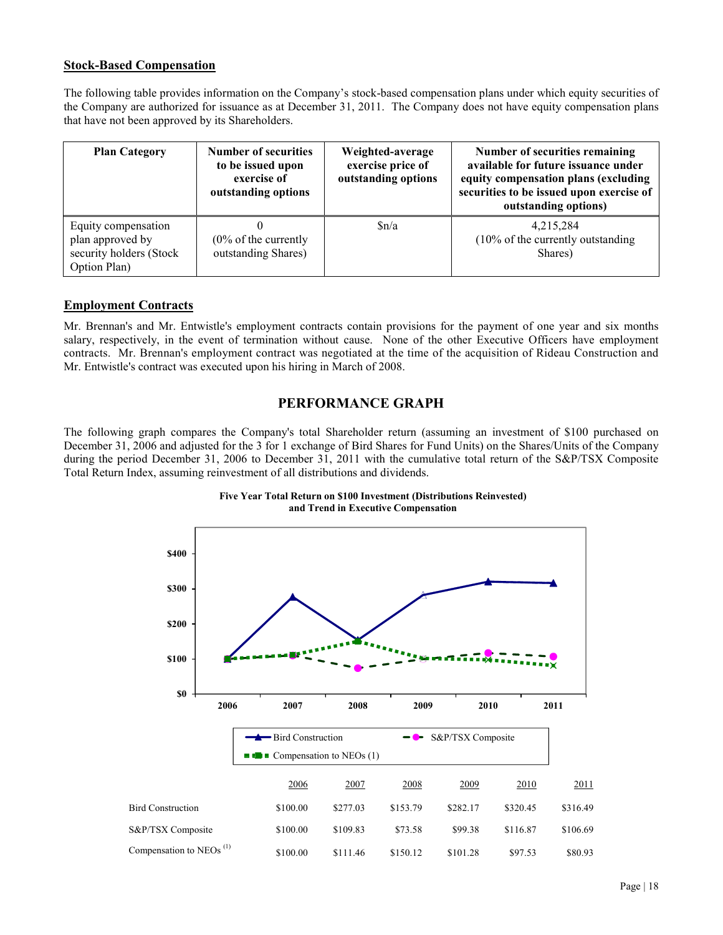# **Stock-Based Compensation**

The following table provides information on the Company's stock-based compensation plans under which equity securities of the Company are authorized for issuance as at December 31, 2011. The Company does not have equity compensation plans that have not been approved by its Shareholders.

| <b>Plan Category</b>                                                               | <b>Number of securities</b><br>to be issued upon<br>exercise of<br>outstanding options | Weighted-average<br>exercise price of<br>outstanding options | Number of securities remaining<br>available for future issuance under<br>equity compensation plans (excluding<br>securities to be issued upon exercise of<br>outstanding options) |
|------------------------------------------------------------------------------------|----------------------------------------------------------------------------------------|--------------------------------------------------------------|-----------------------------------------------------------------------------------------------------------------------------------------------------------------------------------|
| Equity compensation<br>plan approved by<br>security holders (Stock<br>Option Plan) | $(0\% \text{ of the currently})$<br>outstanding Shares)                                | Sn/a                                                         | 4,215,284<br>$(10\% \text{ of the currently outstanding})$<br>Shares)                                                                                                             |

# **Employment Contracts**

Mr. Brennan's and Mr. Entwistle's employment contracts contain provisions for the payment of one year and six months salary, respectively, in the event of termination without cause. None of the other Executive Officers have employment contracts. Mr. Brennan's employment contract was negotiated at the time of the acquisition of Rideau Construction and Mr. Entwistle's contract was executed upon his hiring in March of 2008.

# **PERFORMANCE GRAPH**

The following graph compares the Company's total Shareholder return (assuming an investment of \$100 purchased on December 31, 2006 and adjusted for the 3 for 1 exchange of Bird Shares for Fund Units) on the Shares/Units of the Company during the period December 31, 2006 to December 31, 2011 with the cumulative total return of the S&P/TSX Composite Total Return Index, assuming reinvestment of all distributions and dividends.



**Five Year Total Return on \$100 Investment (Distributions Reinvested) and Trend in Executive Compensation**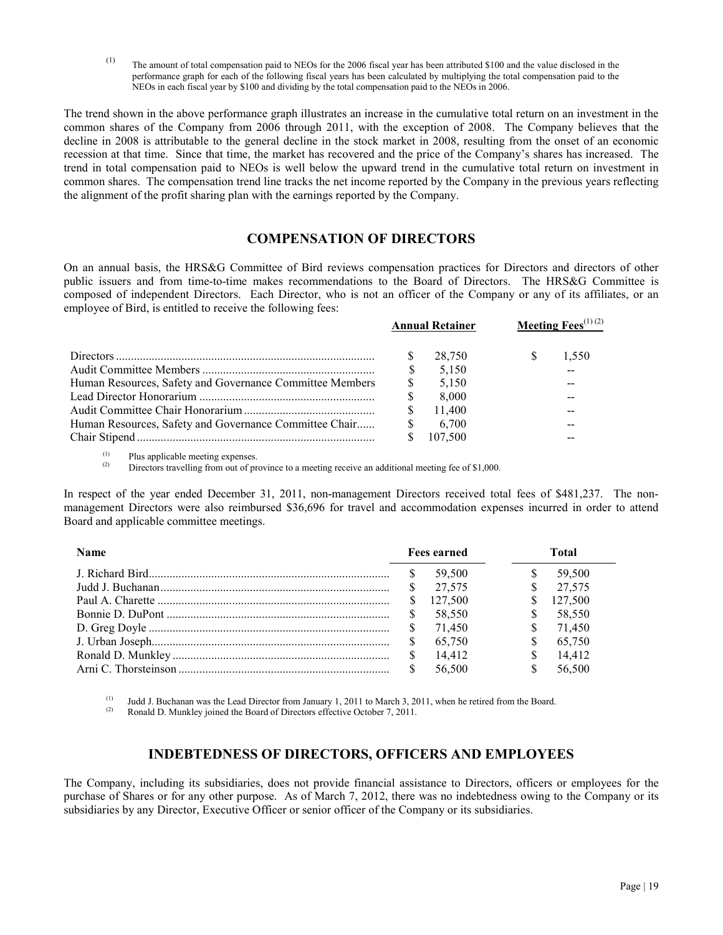(1) The amount of total compensation paid to NEOs for the 2006 fiscal year has been attributed \$100 and the value disclosed in the performance graph for each of the following fiscal years has been calculated by multiplying the total compensation paid to the NEOs in each fiscal year by \$100 and dividing by the total compensation paid to the NEOs in 2006.

The trend shown in the above performance graph illustrates an increase in the cumulative total return on an investment in the common shares of the Company from 2006 through 2011, with the exception of 2008. The Company believes that the decline in 2008 is attributable to the general decline in the stock market in 2008, resulting from the onset of an economic recession at that time. Since that time, the market has recovered and the price of the Company's shares has increased. The trend in total compensation paid to NEOs is well below the upward trend in the cumulative total return on investment in common shares. The compensation trend line tracks the net income reported by the Company in the previous years reflecting the alignment of the profit sharing plan with the earnings reported by the Company.

# **COMPENSATION OF DIRECTORS**

On an annual basis, the HRS&G Committee of Bird reviews compensation practices for Directors and directors of other public issuers and from time-to-time makes recommendations to the Board of Directors. The HRS&G Committee is composed of independent Directors. Each Director, who is not an officer of the Company or any of its affiliates, or an employee of Bird, is entitled to receive the following fees:

|                                                          |               | <b>Annual Retainer</b> | Meeting Fees $^{(1)(2)}$ |       |  |
|----------------------------------------------------------|---------------|------------------------|--------------------------|-------|--|
|                                                          |               | 28.750                 |                          | 1.550 |  |
|                                                          |               | 5.150                  |                          |       |  |
| Human Resources, Safety and Governance Committee Members | \$.           | 5.150                  |                          | --    |  |
|                                                          | <sup>\$</sup> | 8.000                  |                          | --    |  |
|                                                          |               | 11.400                 |                          | --    |  |
| Human Resources, Safety and Governance Committee Chair   | -S            | 6.700                  |                          |       |  |
|                                                          |               | 107.500                |                          |       |  |

 $\sum_{(2)}^{(1)}$  Plus applicable meeting expenses.

Directors travelling from out of province to a meeting receive an additional meeting fee of \$1,000.

In respect of the year ended December 31, 2011, non-management Directors received total fees of \$481,237. The nonmanagement Directors were also reimbursed \$36,696 for travel and accommodation expenses incurred in order to attend Board and applicable committee meetings.

| <b>Name</b> |          | <b>Fees earned</b> | Total |                     |
|-------------|----------|--------------------|-------|---------------------|
|             |          | 59.500             | S.    | 59,500              |
|             | <b>S</b> | 27.575             |       | $\frac{\$}{27,575}$ |
|             |          | 127.500            | S.    | 127.500             |
|             |          | 58.550             | \$.   | 58,550              |
|             |          | 71.450             | S.    | 71,450              |
|             |          | 65.750             | \$.   | 65,750              |
|             |          | 14,412             | \$.   | 14,412              |
|             |          | 56,500             | \$.   | 56,500              |

(1) Judd J. Buchanan was the Lead Director from January 1, 2011 to March 3, 2011, when he retired from the Board.<br>(2) Ronald D. Munkley joined the Board of Directors effective October 7, 2011

Ronald D. Munkley joined the Board of Directors effective October 7, 2011.

# **INDEBTEDNESS OF DIRECTORS, OFFICERS AND EMPLOYEES**

The Company, including its subsidiaries, does not provide financial assistance to Directors, officers or employees for the purchase of Shares or for any other purpose. As of March 7, 2012, there was no indebtedness owing to the Company or its subsidiaries by any Director, Executive Officer or senior officer of the Company or its subsidiaries.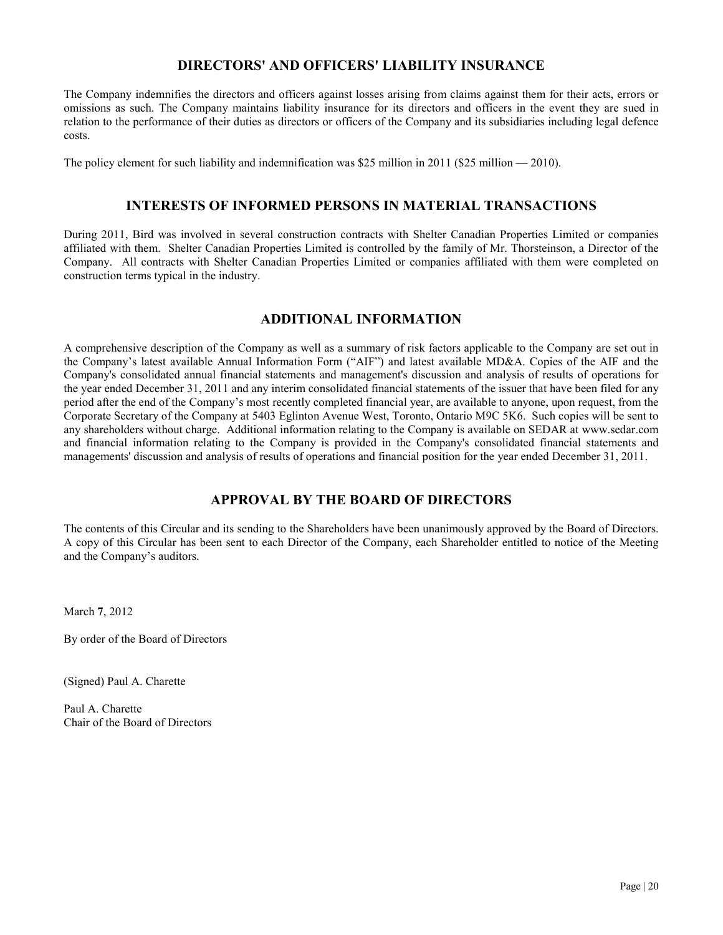# **DIRECTORS' AND OFFICERS' LIABILITY INSURANCE**

The Company indemnifies the directors and officers against losses arising from claims against them for their acts, errors or omissions as such. The Company maintains liability insurance for its directors and officers in the event they are sued in relation to the performance of their duties as directors or officers of the Company and its subsidiaries including legal defence costs.

The policy element for such liability and indemnification was \$25 million in 2011 (\$25 million — 2010).

# **INTERESTS OF INFORMED PERSONS IN MATERIAL TRANSACTIONS**

During 2011, Bird was involved in several construction contracts with Shelter Canadian Properties Limited or companies affiliated with them. Shelter Canadian Properties Limited is controlled by the family of Mr. Thorsteinson, a Director of the Company. All contracts with Shelter Canadian Properties Limited or companies affiliated with them were completed on construction terms typical in the industry.

# **ADDITIONAL INFORMATION**

A comprehensive description of the Company as well as a summary of risk factors applicable to the Company are set out in the Company's latest available Annual Information Form ("AIF") and latest available MD&A. Copies of the AIF and the Company's consolidated annual financial statements and management's discussion and analysis of results of operations for the year ended December 31, 2011 and any interim consolidated financial statements of the issuer that have been filed for any period after the end of the Company's most recently completed financial year, are available to anyone, upon request, from the Corporate Secretary of the Company at 5403 Eglinton Avenue West, Toronto, Ontario M9C 5K6. Such copies will be sent to any shareholders without charge. Additional information relating to the Company is available on SEDAR at www.sedar.com and financial information relating to the Company is provided in the Company's consolidated financial statements and managements' discussion and analysis of results of operations and financial position for the year ended December 31, 2011.

# **APPROVAL BY THE BOARD OF DIRECTORS**

The contents of this Circular and its sending to the Shareholders have been unanimously approved by the Board of Directors. A copy of this Circular has been sent to each Director of the Company, each Shareholder entitled to notice of the Meeting and the Company's auditors.

March **7**, 2012

By order of the Board of Directors

(Signed) Paul A. Charette

Paul A. Charette Chair of the Board of Directors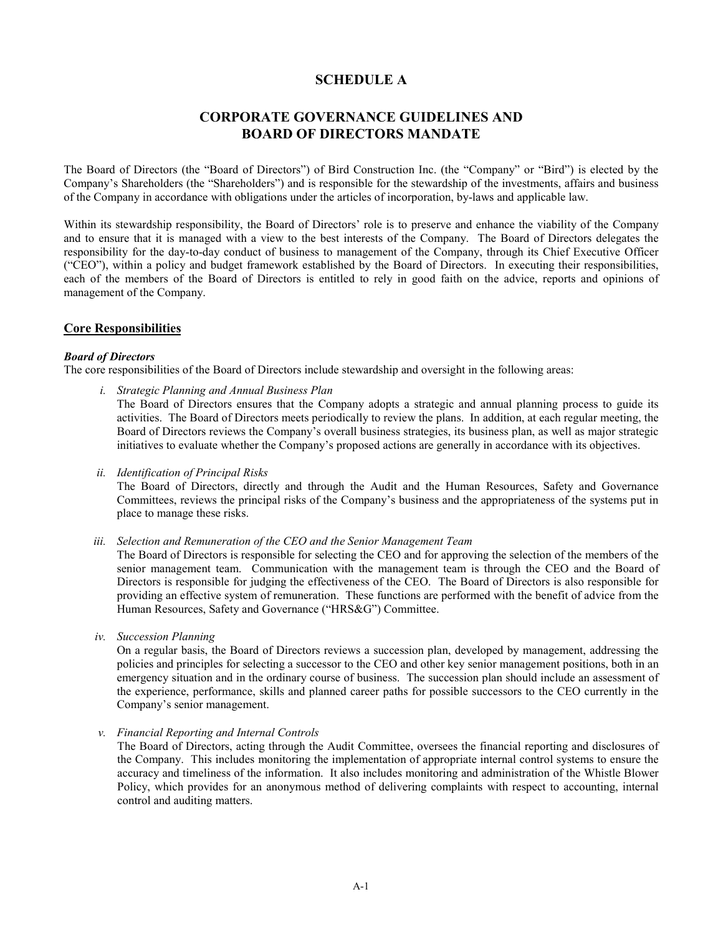# **SCHEDULE A**

# **CORPORATE GOVERNANCE GUIDELINES AND BOARD OF DIRECTORS MANDATE**

The Board of Directors (the "Board of Directors") of Bird Construction Inc. (the "Company" or "Bird") is elected by the Company's Shareholders (the "Shareholders") and is responsible for the stewardship of the investments, affairs and business of the Company in accordance with obligations under the articles of incorporation, by-laws and applicable law.

Within its stewardship responsibility, the Board of Directors' role is to preserve and enhance the viability of the Company and to ensure that it is managed with a view to the best interests of the Company. The Board of Directors delegates the responsibility for the day-to-day conduct of business to management of the Company, through its Chief Executive Officer ("CEO"), within a policy and budget framework established by the Board of Directors. In executing their responsibilities, each of the members of the Board of Directors is entitled to rely in good faith on the advice, reports and opinions of management of the Company.

# **Core Responsibilities**

#### *Board of Directors*

The core responsibilities of the Board of Directors include stewardship and oversight in the following areas:

- *i. Strategic Planning and Annual Business Plan* The Board of Directors ensures that the Company adopts a strategic and annual planning process to guide its activities. The Board of Directors meets periodically to review the plans. In addition, at each regular meeting, the Board of Directors reviews the Company's overall business strategies, its business plan, as well as major strategic initiatives to evaluate whether the Company's proposed actions are generally in accordance with its objectives.
- *ii. Identification of Principal Risks*

The Board of Directors, directly and through the Audit and the Human Resources, Safety and Governance Committees, reviews the principal risks of the Company's business and the appropriateness of the systems put in place to manage these risks.

*iii. Selection and Remuneration of the CEO and the Senior Management Team*

The Board of Directors is responsible for selecting the CEO and for approving the selection of the members of the senior management team. Communication with the management team is through the CEO and the Board of Directors is responsible for judging the effectiveness of the CEO. The Board of Directors is also responsible for providing an effective system of remuneration. These functions are performed with the benefit of advice from the Human Resources, Safety and Governance ("HRS&G") Committee.

*iv. Succession Planning*

On a regular basis, the Board of Directors reviews a succession plan, developed by management, addressing the policies and principles for selecting a successor to the CEO and other key senior management positions, both in an emergency situation and in the ordinary course of business. The succession plan should include an assessment of the experience, performance, skills and planned career paths for possible successors to the CEO currently in the Company's senior management.

*v. Financial Reporting and Internal Controls*

The Board of Directors, acting through the Audit Committee, oversees the financial reporting and disclosures of the Company. This includes monitoring the implementation of appropriate internal control systems to ensure the accuracy and timeliness of the information. It also includes monitoring and administration of the Whistle Blower Policy, which provides for an anonymous method of delivering complaints with respect to accounting, internal control and auditing matters.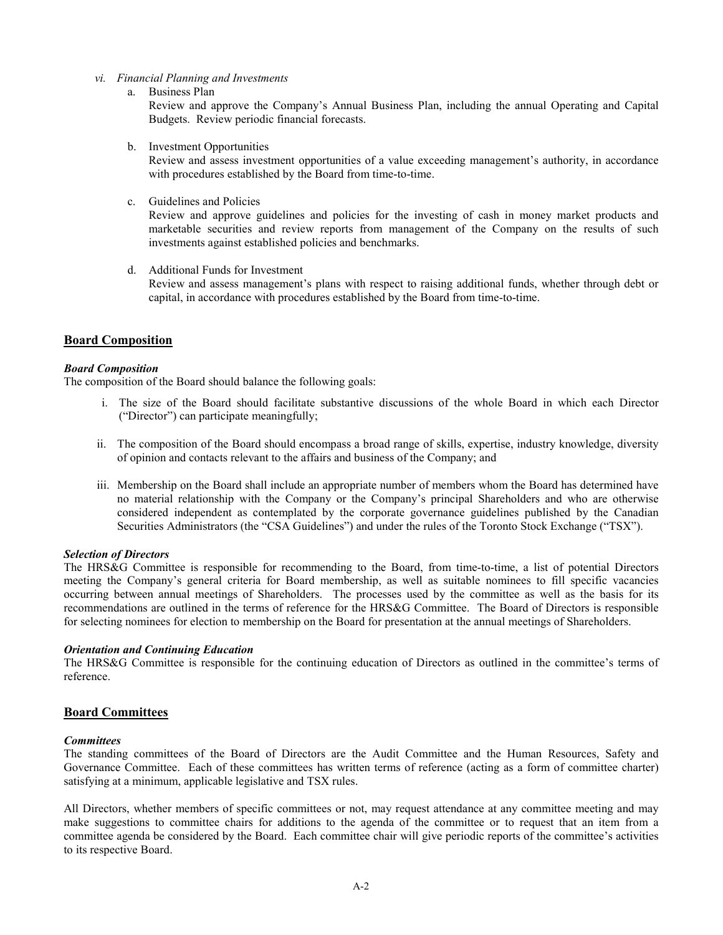- *vi. Financial Planning and Investments*
	- a. Business Plan

Review and approve the Company's Annual Business Plan, including the annual Operating and Capital Budgets. Review periodic financial forecasts.

b. Investment Opportunities

Review and assess investment opportunities of a value exceeding management's authority, in accordance with procedures established by the Board from time-to-time.

c. Guidelines and Policies

Review and approve guidelines and policies for the investing of cash in money market products and marketable securities and review reports from management of the Company on the results of such investments against established policies and benchmarks.

d. Additional Funds for Investment

Review and assess management's plans with respect to raising additional funds, whether through debt or capital, in accordance with procedures established by the Board from time-to-time.

# **Board Composition**

### *Board Composition*

The composition of the Board should balance the following goals:

- i. The size of the Board should facilitate substantive discussions of the whole Board in which each Director ("Director") can participate meaningfully;
- ii. The composition of the Board should encompass a broad range of skills, expertise, industry knowledge, diversity of opinion and contacts relevant to the affairs and business of the Company; and
- iii. Membership on the Board shall include an appropriate number of members whom the Board has determined have no material relationship with the Company or the Company's principal Shareholders and who are otherwise considered independent as contemplated by the corporate governance guidelines published by the Canadian Securities Administrators (the "CSA Guidelines") and under the rules of the Toronto Stock Exchange ("TSX").

#### *Selection of Directors*

The HRS&G Committee is responsible for recommending to the Board, from time-to-time, a list of potential Directors meeting the Company's general criteria for Board membership, as well as suitable nominees to fill specific vacancies occurring between annual meetings of Shareholders. The processes used by the committee as well as the basis for its recommendations are outlined in the terms of reference for the HRS&G Committee. The Board of Directors is responsible for selecting nominees for election to membership on the Board for presentation at the annual meetings of Shareholders.

#### *Orientation and Continuing Education*

The HRS&G Committee is responsible for the continuing education of Directors as outlined in the committee's terms of reference.

### **Board Committees**

#### *Committees*

The standing committees of the Board of Directors are the Audit Committee and the Human Resources, Safety and Governance Committee. Each of these committees has written terms of reference (acting as a form of committee charter) satisfying at a minimum, applicable legislative and TSX rules.

All Directors, whether members of specific committees or not, may request attendance at any committee meeting and may make suggestions to committee chairs for additions to the agenda of the committee or to request that an item from a committee agenda be considered by the Board. Each committee chair will give periodic reports of the committee's activities to its respective Board.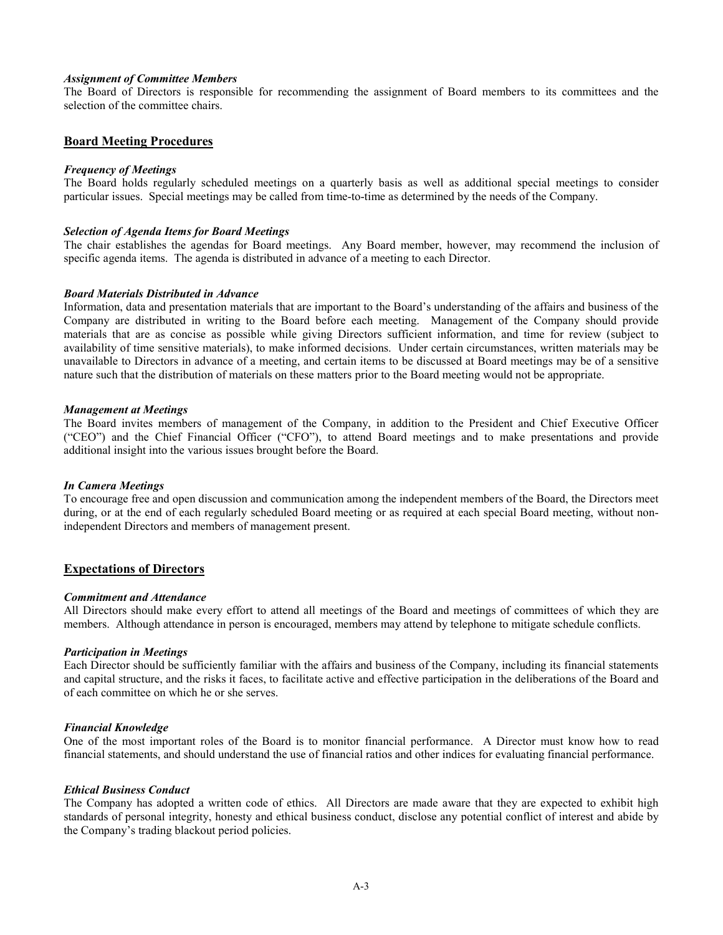#### *Assignment of Committee Members*

The Board of Directors is responsible for recommending the assignment of Board members to its committees and the selection of the committee chairs.

### **Board Meeting Procedures**

#### *Frequency of Meetings*

The Board holds regularly scheduled meetings on a quarterly basis as well as additional special meetings to consider particular issues. Special meetings may be called from time-to-time as determined by the needs of the Company.

#### *Selection of Agenda Items for Board Meetings*

The chair establishes the agendas for Board meetings. Any Board member, however, may recommend the inclusion of specific agenda items. The agenda is distributed in advance of a meeting to each Director.

#### *Board Materials Distributed in Advance*

Information, data and presentation materials that are important to the Board's understanding of the affairs and business of the Company are distributed in writing to the Board before each meeting. Management of the Company should provide materials that are as concise as possible while giving Directors sufficient information, and time for review (subject to availability of time sensitive materials), to make informed decisions. Under certain circumstances, written materials may be unavailable to Directors in advance of a meeting, and certain items to be discussed at Board meetings may be of a sensitive nature such that the distribution of materials on these matters prior to the Board meeting would not be appropriate.

#### *Management at Meetings*

The Board invites members of management of the Company, in addition to the President and Chief Executive Officer ("CEO") and the Chief Financial Officer ("CFO"), to attend Board meetings and to make presentations and provide additional insight into the various issues brought before the Board.

#### *In Camera Meetings*

To encourage free and open discussion and communication among the independent members of the Board, the Directors meet during, or at the end of each regularly scheduled Board meeting or as required at each special Board meeting, without nonindependent Directors and members of management present.

#### **Expectations of Directors**

#### *Commitment and Attendance*

All Directors should make every effort to attend all meetings of the Board and meetings of committees of which they are members. Although attendance in person is encouraged, members may attend by telephone to mitigate schedule conflicts.

#### *Participation in Meetings*

Each Director should be sufficiently familiar with the affairs and business of the Company, including its financial statements and capital structure, and the risks it faces, to facilitate active and effective participation in the deliberations of the Board and of each committee on which he or she serves.

#### *Financial Knowledge*

One of the most important roles of the Board is to monitor financial performance. A Director must know how to read financial statements, and should understand the use of financial ratios and other indices for evaluating financial performance.

#### *Ethical Business Conduct*

The Company has adopted a written code of ethics. All Directors are made aware that they are expected to exhibit high standards of personal integrity, honesty and ethical business conduct, disclose any potential conflict of interest and abide by the Company's trading blackout period policies.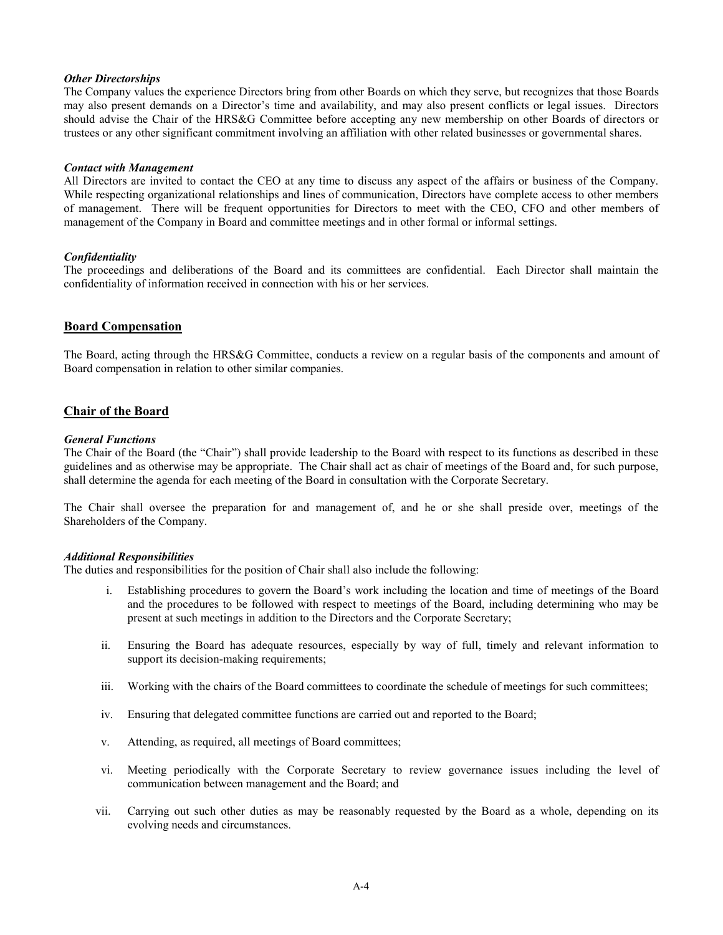### *Other Directorships*

The Company values the experience Directors bring from other Boards on which they serve, but recognizes that those Boards may also present demands on a Director's time and availability, and may also present conflicts or legal issues. Directors should advise the Chair of the HRS&G Committee before accepting any new membership on other Boards of directors or trustees or any other significant commitment involving an affiliation with other related businesses or governmental shares.

#### *Contact with Management*

All Directors are invited to contact the CEO at any time to discuss any aspect of the affairs or business of the Company. While respecting organizational relationships and lines of communication, Directors have complete access to other members of management. There will be frequent opportunities for Directors to meet with the CEO, CFO and other members of management of the Company in Board and committee meetings and in other formal or informal settings.

#### *Confidentiality*

The proceedings and deliberations of the Board and its committees are confidential. Each Director shall maintain the confidentiality of information received in connection with his or her services.

### **Board Compensation**

The Board, acting through the HRS&G Committee, conducts a review on a regular basis of the components and amount of Board compensation in relation to other similar companies.

### **Chair of the Board**

#### *General Functions*

The Chair of the Board (the "Chair") shall provide leadership to the Board with respect to its functions as described in these guidelines and as otherwise may be appropriate. The Chair shall act as chair of meetings of the Board and, for such purpose, shall determine the agenda for each meeting of the Board in consultation with the Corporate Secretary.

The Chair shall oversee the preparation for and management of, and he or she shall preside over, meetings of the Shareholders of the Company.

#### *Additional Responsibilities*

The duties and responsibilities for the position of Chair shall also include the following:

- i. Establishing procedures to govern the Board's work including the location and time of meetings of the Board and the procedures to be followed with respect to meetings of the Board, including determining who may be present at such meetings in addition to the Directors and the Corporate Secretary;
- ii. Ensuring the Board has adequate resources, especially by way of full, timely and relevant information to support its decision-making requirements;
- iii. Working with the chairs of the Board committees to coordinate the schedule of meetings for such committees;
- iv. Ensuring that delegated committee functions are carried out and reported to the Board;
- v. Attending, as required, all meetings of Board committees;
- vi. Meeting periodically with the Corporate Secretary to review governance issues including the level of communication between management and the Board; and
- vii. Carrying out such other duties as may be reasonably requested by the Board as a whole, depending on its evolving needs and circumstances.